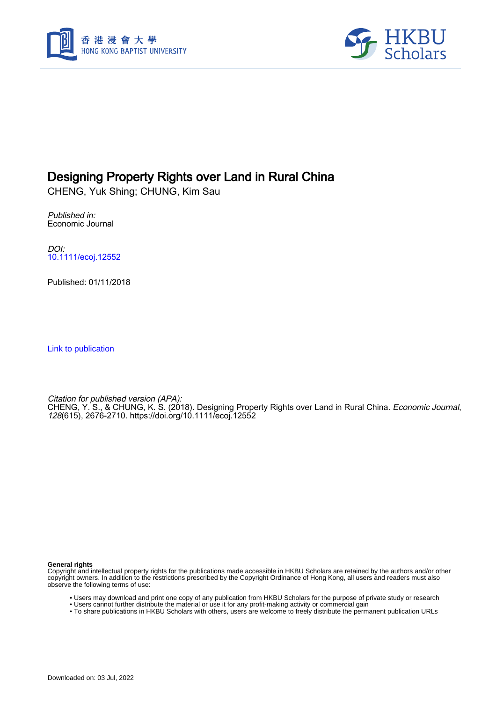



# Designing Property Rights over Land in Rural China

CHENG, Yuk Shing; CHUNG, Kim Sau

Published in: Economic Journal

DOI: [10.1111/ecoj.12552](https://doi.org/10.1111/ecoj.12552)

Published: 01/11/2018

[Link to publication](https://scholars.hkbu.edu.hk/en/publications/2d3ba735-1238-4d77-b0f9-f44b5cf106e0)

Citation for published version (APA): CHENG, Y. S., & CHUNG, K. S. (2018). Designing Property Rights over Land in Rural China. *Economic Journal*, 128(615), 2676-2710. <https://doi.org/10.1111/ecoj.12552>

**General rights**

Copyright and intellectual property rights for the publications made accessible in HKBU Scholars are retained by the authors and/or other copyright owners. In addition to the restrictions prescribed by the Copyright Ordinance of Hong Kong, all users and readers must also observe the following terms of use:

- Users may download and print one copy of any publication from HKBU Scholars for the purpose of private study or research
- Users cannot further distribute the material or use it for any profit-making activity or commercial gain
- To share publications in HKBU Scholars with others, users are welcome to freely distribute the permanent publication URLs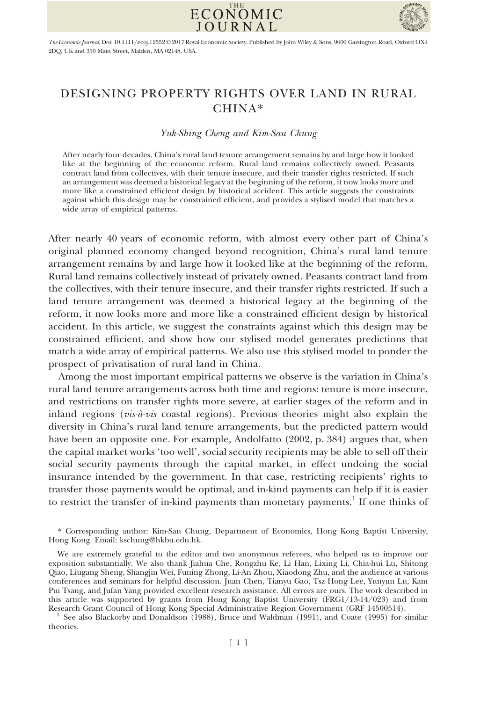



The Economic Journal, Doi: 10.1111/ecoj.12552 © 2017 Royal Economic Society. Published by John Wiley & Sons, 9600 Garsington Road, Oxford OX4 2DQ, UK and 350 Main Street, Malden, MA 02148, USA.

## DESIGNING PROPERTY RIGHTS OVER LAND IN RURAL CHINA\*

Yuk-Shing Cheng and Kim-Sau Chung

After nearly four decades, China's rural land tenure arrangement remains by and large how it looked like at the beginning of the economic reform. Rural land remains collectively owned. Peasants contract land from collectives, with their tenure insecure, and their transfer rights restricted. If such an arrangement was deemed a historical legacy at the beginning of the reform, it now looks more and more like a constrained efficient design by historical accident. This article suggests the constraints against which this design may be constrained efficient, and provides a stylised model that matches a wide array of empirical patterns.

After nearly 40 years of economic reform, with almost every other part of China's original planned economy changed beyond recognition, China's rural land tenure arrangement remains by and large how it looked like at the beginning of the reform. Rural land remains collectively instead of privately owned. Peasants contract land from the collectives, with their tenure insecure, and their transfer rights restricted. If such a land tenure arrangement was deemed a historical legacy at the beginning of the reform, it now looks more and more like a constrained efficient design by historical accident. In this article, we suggest the constraints against which this design may be constrained efficient, and show how our stylised model generates predictions that match a wide array of empirical patterns. We also use this stylised model to ponder the prospect of privatisation of rural land in China.

Among the most important empirical patterns we observe is the variation in China's rural land tenure arrangements across both time and regions: tenure is more insecure, and restrictions on transfer rights more severe, at earlier stages of the reform and in inland regions ( $vis\text{-}a\text{-}vis$  coastal regions). Previous theories might also explain the diversity in China's rural land tenure arrangements, but the predicted pattern would have been an opposite one. For example, Andolfatto (2002, p. 384) argues that, when the capital market works 'too well', social security recipients may be able to sell off their social security payments through the capital market, in effect undoing the social insurance intended by the government. In that case, restricting recipients' rights to transfer those payments would be optimal, and in-kind payments can help if it is easier to restrict the transfer of in-kind payments than monetary payments.<sup>1</sup> If one thinks of

<sup>1</sup> See also Blackorby and Donaldson (1988), Bruce and Waldman (1991), and Coate (1995) for similar theories.

<sup>\*</sup> Corresponding author: Kim-Sau Chung, Department of Economics, Hong Kong Baptist University, Hong Kong. Email: kschung@hkbu.edu.hk.

We are extremely grateful to the editor and two anonymous referees, who helped us to improve our exposition substantially. We also thank Jiahua Che, Rongzhu Ke, Li Han, Lixing Li, Chia-hui Lu, Shitong Qiao, Liugang Sheng, Shangjin Wei, Funing Zhong, Li-An Zhou, Xiaodong Zhu, and the audience at various conferences and seminars for helpful discussion. Juan Chen, Tianyu Gao, Tsz Hong Lee, Yunyun Lu, Kam Pui Tsang, and Jufan Yang provided excellent research assistance. All errors are ours. The work described in this article was supported by grants from Hong Kong Baptist University (FRG1/13-14/023) and from Research Grant Council of Hong Kong Special Administrative Region Government (GRF 14500514).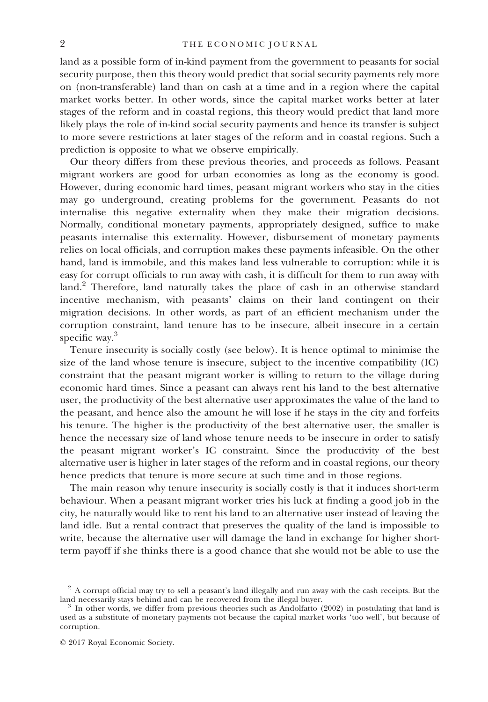land as a possible form of in-kind payment from the government to peasants for social security purpose, then this theory would predict that social security payments rely more on (non-transferable) land than on cash at a time and in a region where the capital market works better. In other words, since the capital market works better at later stages of the reform and in coastal regions, this theory would predict that land more likely plays the role of in-kind social security payments and hence its transfer is subject to more severe restrictions at later stages of the reform and in coastal regions. Such a prediction is opposite to what we observe empirically.

Our theory differs from these previous theories, and proceeds as follows. Peasant migrant workers are good for urban economies as long as the economy is good. However, during economic hard times, peasant migrant workers who stay in the cities may go underground, creating problems for the government. Peasants do not internalise this negative externality when they make their migration decisions. Normally, conditional monetary payments, appropriately designed, suffice to make peasants internalise this externality. However, disbursement of monetary payments relies on local officials, and corruption makes these payments infeasible. On the other hand, land is immobile, and this makes land less vulnerable to corruption: while it is easy for corrupt officials to run away with cash, it is difficult for them to run away with land.<sup>2</sup> Therefore, land naturally takes the place of cash in an otherwise standard incentive mechanism, with peasants' claims on their land contingent on their migration decisions. In other words, as part of an efficient mechanism under the corruption constraint, land tenure has to be insecure, albeit insecure in a certain specific way.<sup>3</sup>

Tenure insecurity is socially costly (see below). It is hence optimal to minimise the size of the land whose tenure is insecure, subject to the incentive compatibility (IC) constraint that the peasant migrant worker is willing to return to the village during economic hard times. Since a peasant can always rent his land to the best alternative user, the productivity of the best alternative user approximates the value of the land to the peasant, and hence also the amount he will lose if he stays in the city and forfeits his tenure. The higher is the productivity of the best alternative user, the smaller is hence the necessary size of land whose tenure needs to be insecure in order to satisfy the peasant migrant worker's IC constraint. Since the productivity of the best alternative user is higher in later stages of the reform and in coastal regions, our theory hence predicts that tenure is more secure at such time and in those regions.

The main reason why tenure insecurity is socially costly is that it induces short-term behaviour. When a peasant migrant worker tries his luck at finding a good job in the city, he naturally would like to rent his land to an alternative user instead of leaving the land idle. But a rental contract that preserves the quality of the land is impossible to write, because the alternative user will damage the land in exchange for higher shortterm payoff if she thinks there is a good chance that she would not be able to use the

 $2^2$  A corrupt official may try to sell a peasant's land illegally and run away with the cash receipts. But the land necessarily stays behind and can be recovered from the illegal buyer.

In other words, we differ from previous theories such as Andolfatto (2002) in postulating that land is used as a substitute of monetary payments not because the capital market works 'too well', but because of corruption.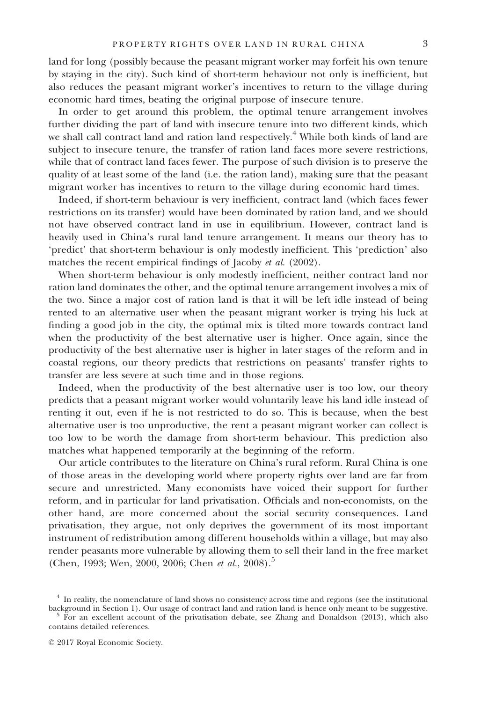land for long (possibly because the peasant migrant worker may forfeit his own tenure by staying in the city). Such kind of short-term behaviour not only is inefficient, but also reduces the peasant migrant worker's incentives to return to the village during economic hard times, beating the original purpose of insecure tenure.

In order to get around this problem, the optimal tenure arrangement involves further dividing the part of land with insecure tenure into two different kinds, which we shall call contract land and ration land respectively.<sup>4</sup> While both kinds of land are subject to insecure tenure, the transfer of ration land faces more severe restrictions, while that of contract land faces fewer. The purpose of such division is to preserve the quality of at least some of the land (i.e. the ration land), making sure that the peasant migrant worker has incentives to return to the village during economic hard times.

Indeed, if short-term behaviour is very inefficient, contract land (which faces fewer restrictions on its transfer) would have been dominated by ration land, and we should not have observed contract land in use in equilibrium. However, contract land is heavily used in China's rural land tenure arrangement. It means our theory has to 'predict' that short-term behaviour is only modestly inefficient. This 'prediction' also matches the recent empirical findings of Jacoby et al. (2002).

When short-term behaviour is only modestly inefficient, neither contract land nor ration land dominates the other, and the optimal tenure arrangement involves a mix of the two. Since a major cost of ration land is that it will be left idle instead of being rented to an alternative user when the peasant migrant worker is trying his luck at finding a good job in the city, the optimal mix is tilted more towards contract land when the productivity of the best alternative user is higher. Once again, since the productivity of the best alternative user is higher in later stages of the reform and in coastal regions, our theory predicts that restrictions on peasants' transfer rights to transfer are less severe at such time and in those regions.

Indeed, when the productivity of the best alternative user is too low, our theory predicts that a peasant migrant worker would voluntarily leave his land idle instead of renting it out, even if he is not restricted to do so. This is because, when the best alternative user is too unproductive, the rent a peasant migrant worker can collect is too low to be worth the damage from short-term behaviour. This prediction also matches what happened temporarily at the beginning of the reform.

Our article contributes to the literature on China's rural reform. Rural China is one of those areas in the developing world where property rights over land are far from secure and unrestricted. Many economists have voiced their support for further reform, and in particular for land privatisation. Officials and non-economists, on the other hand, are more concerned about the social security consequences. Land privatisation, they argue, not only deprives the government of its most important instrument of redistribution among different households within a village, but may also render peasants more vulnerable by allowing them to sell their land in the free market (Chen, 1993; Wen, 2000, 2006; Chen et al., 2008).<sup>5</sup>

 $4$  In reality, the nomenclature of land shows no consistency across time and regions (see the institutional background in Section 1). Our usage of contract land and ration land is hence only meant to be suggestive.

 $5$  For an excellent account of the privatisation debate, see Zhang and Donaldson (2013), which also contains detailed references.

<sup>©</sup> 2017 Royal Economic Society.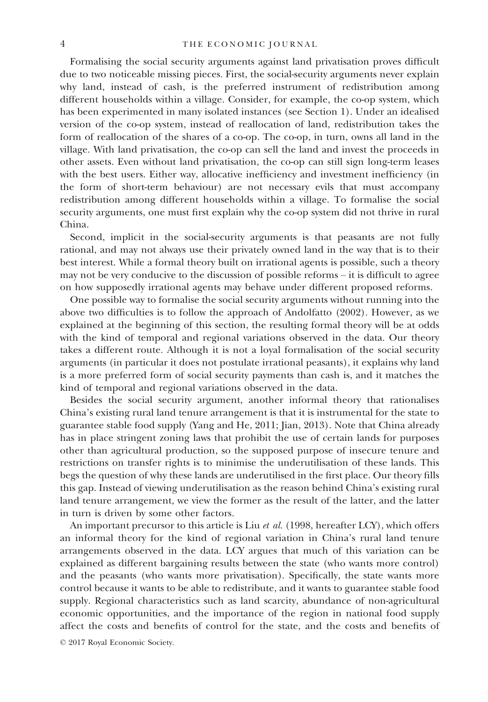Formalising the social security arguments against land privatisation proves difficult due to two noticeable missing pieces. First, the social-security arguments never explain why land, instead of cash, is the preferred instrument of redistribution among different households within a village. Consider, for example, the co-op system, which has been experimented in many isolated instances (see Section 1). Under an idealised version of the co-op system, instead of reallocation of land, redistribution takes the form of reallocation of the shares of a co-op. The co-op, in turn, owns all land in the village. With land privatisation, the co-op can sell the land and invest the proceeds in other assets. Even without land privatisation, the co-op can still sign long-term leases with the best users. Either way, allocative inefficiency and investment inefficiency (in the form of short-term behaviour) are not necessary evils that must accompany redistribution among different households within a village. To formalise the social security arguments, one must first explain why the co-op system did not thrive in rural China.

Second, implicit in the social-security arguments is that peasants are not fully rational, and may not always use their privately owned land in the way that is to their best interest. While a formal theory built on irrational agents is possible, such a theory may not be very conducive to the discussion of possible reforms – it is difficult to agree on how supposedly irrational agents may behave under different proposed reforms.

One possible way to formalise the social security arguments without running into the above two difficulties is to follow the approach of Andolfatto (2002). However, as we explained at the beginning of this section, the resulting formal theory will be at odds with the kind of temporal and regional variations observed in the data. Our theory takes a different route. Although it is not a loyal formalisation of the social security arguments (in particular it does not postulate irrational peasants), it explains why land is a more preferred form of social security payments than cash is, and it matches the kind of temporal and regional variations observed in the data.

Besides the social security argument, another informal theory that rationalises China's existing rural land tenure arrangement is that it is instrumental for the state to guarantee stable food supply (Yang and He, 2011; Jian, 2013). Note that China already has in place stringent zoning laws that prohibit the use of certain lands for purposes other than agricultural production, so the supposed purpose of insecure tenure and restrictions on transfer rights is to minimise the underutilisation of these lands. This begs the question of why these lands are underutilised in the first place. Our theory fills this gap. Instead of viewing underutilisation as the reason behind China's existing rural land tenure arrangement, we view the former as the result of the latter, and the latter in turn is driven by some other factors.

An important precursor to this article is Liu et al. (1998, hereafter LCY), which offers an informal theory for the kind of regional variation in China's rural land tenure arrangements observed in the data. LCY argues that much of this variation can be explained as different bargaining results between the state (who wants more control) and the peasants (who wants more privatisation). Specifically, the state wants more control because it wants to be able to redistribute, and it wants to guarantee stable food supply. Regional characteristics such as land scarcity, abundance of non-agricultural economic opportunities, and the importance of the region in national food supply affect the costs and benefits of control for the state, and the costs and benefits of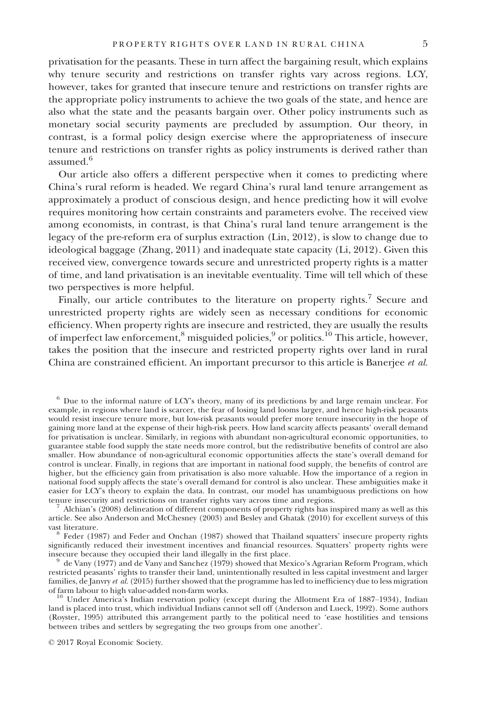privatisation for the peasants. These in turn affect the bargaining result, which explains why tenure security and restrictions on transfer rights vary across regions. LCY, however, takes for granted that insecure tenure and restrictions on transfer rights are the appropriate policy instruments to achieve the two goals of the state, and hence are also what the state and the peasants bargain over. Other policy instruments such as monetary social security payments are precluded by assumption. Our theory, in contrast, is a formal policy design exercise where the appropriateness of insecure tenure and restrictions on transfer rights as policy instruments is derived rather than assumed $6$ 

Our article also offers a different perspective when it comes to predicting where China's rural reform is headed. We regard China's rural land tenure arrangement as approximately a product of conscious design, and hence predicting how it will evolve requires monitoring how certain constraints and parameters evolve. The received view among economists, in contrast, is that China's rural land tenure arrangement is the legacy of the pre-reform era of surplus extraction (Lin, 2012), is slow to change due to ideological baggage (Zhang, 2011) and inadequate state capacity (Li, 2012). Given this received view, convergence towards secure and unrestricted property rights is a matter of time, and land privatisation is an inevitable eventuality. Time will tell which of these two perspectives is more helpful.

Finally, our article contributes to the literature on property rights.<sup>7</sup> Secure and unrestricted property rights are widely seen as necessary conditions for economic efficiency. When property rights are insecure and restricted, they are usually the results of imperfect law enforcement, $\frac{8}{3}$  misguided policies,  $\frac{9}{3}$  or politics.<sup>10</sup> This article, however, takes the position that the insecure and restricted property rights over land in rural China are constrained efficient. An important precursor to this article is Banerjee et al.

<sup>6</sup> Due to the informal nature of LCY's theory, many of its predictions by and large remain unclear. For example, in regions where land is scarcer, the fear of losing land looms larger, and hence high-risk peasants would resist insecure tenure more, but low-risk peasants would prefer more tenure insecurity in the hope of gaining more land at the expense of their high-risk peers. How land scarcity affects peasants' overall demand for privatisation is unclear. Similarly, in regions with abundant non-agricultural economic opportunities, to guarantee stable food supply the state needs more control, but the redistributive benefits of control are also smaller. How abundance of non-agricultural economic opportunities affects the state's overall demand for control is unclear. Finally, in regions that are important in national food supply, the benefits of control are higher, but the efficiency gain from privatisation is also more valuable. How the importance of a region in national food supply affects the state's overall demand for control is also unclear. These ambiguities make it easier for LCY's theory to explain the data. In contrast, our model has unambiguous predictions on how tenure insecurity and restrictions on transfer rights vary across time and regions.

 $^7$  Alchian's (2008) delineation of different components of property rights has inspired many as well as this article. See also Anderson and McChesney (2003) and Besley and Ghatak (2010) for excellent surveys of this

 $8$  Feder (1987) and Feder and Onchan (1987) showed that Thailand squatters' insecure property rights significantly reduced their investment incentives and financial resources. Squatters' property rights were insecure because they occupied their land illegally in the first place.<br><sup>9</sup> de Vany (1977) and de Vany and Sanchez (1979) showed that Mexico's Agrarian Reform Program, which

restricted peasants' rights to transfer their land, unintentionally resulted in less capital investment and larger families, de Janvry et al. (2015) further showed that the programme has led to inefficiency due to less migration of farm labour to high value-added non-farm works. of farm labour to high value-added non-farm works.<br><sup>10</sup> Under America's Indian reservation policy (except during the Allotment Era of 1887–1934), Indian

land is placed into trust, which individual Indians cannot sell off (Anderson and Lueck, 1992). Some authors (Royster, 1995) attributed this arrangement partly to the political need to 'ease hostilities and tensions between tribes and settlers by segregating the two groups from one another'.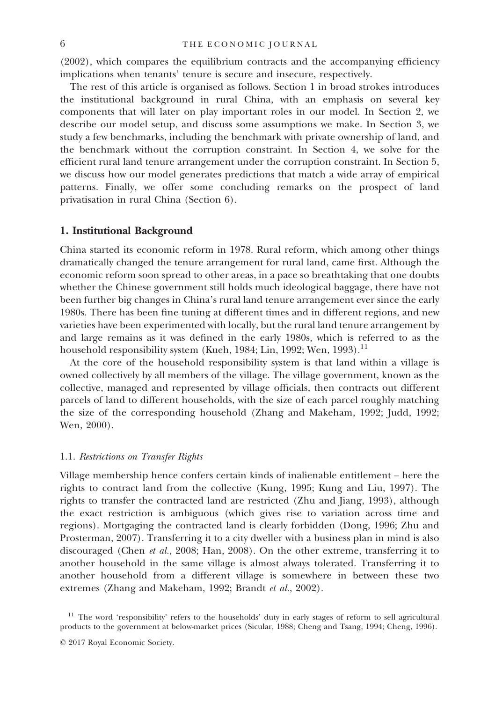(2002), which compares the equilibrium contracts and the accompanying efficiency implications when tenants' tenure is secure and insecure, respectively.

The rest of this article is organised as follows. Section 1 in broad strokes introduces the institutional background in rural China, with an emphasis on several key components that will later on play important roles in our model. In Section 2, we describe our model setup, and discuss some assumptions we make. In Section 3, we study a few benchmarks, including the benchmark with private ownership of land, and the benchmark without the corruption constraint. In Section 4, we solve for the efficient rural land tenure arrangement under the corruption constraint. In Section 5, we discuss how our model generates predictions that match a wide array of empirical patterns. Finally, we offer some concluding remarks on the prospect of land privatisation in rural China (Section 6).

## 1. Institutional Background

China started its economic reform in 1978. Rural reform, which among other things dramatically changed the tenure arrangement for rural land, came first. Although the economic reform soon spread to other areas, in a pace so breathtaking that one doubts whether the Chinese government still holds much ideological baggage, there have not been further big changes in China's rural land tenure arrangement ever since the early 1980s. There has been fine tuning at different times and in different regions, and new varieties have been experimented with locally, but the rural land tenure arrangement by and large remains as it was defined in the early 1980s, which is referred to as the household responsibility system (Kueh, 1984; Lin, 1992; Wen, 1993).<sup>11</sup>

At the core of the household responsibility system is that land within a village is owned collectively by all members of the village. The village government, known as the collective, managed and represented by village officials, then contracts out different parcels of land to different households, with the size of each parcel roughly matching the size of the corresponding household (Zhang and Makeham, 1992; Judd, 1992; Wen, 2000).

## 1.1. Restrictions on Transfer Rights

Village membership hence confers certain kinds of inalienable entitlement – here the rights to contract land from the collective (Kung, 1995; Kung and Liu, 1997). The rights to transfer the contracted land are restricted (Zhu and Jiang, 1993), although the exact restriction is ambiguous (which gives rise to variation across time and regions). Mortgaging the contracted land is clearly forbidden (Dong, 1996; Zhu and Prosterman, 2007). Transferring it to a city dweller with a business plan in mind is also discouraged (Chen et al., 2008; Han, 2008). On the other extreme, transferring it to another household in the same village is almost always tolerated. Transferring it to another household from a different village is somewhere in between these two extremes (Zhang and Makeham, 1992; Brandt et al., 2002).

 $11$  The word 'responsibility' refers to the households' duty in early stages of reform to sell agricultural products to the government at below-market prices (Sicular, 1988; Cheng and Tsang, 1994; Cheng, 1996).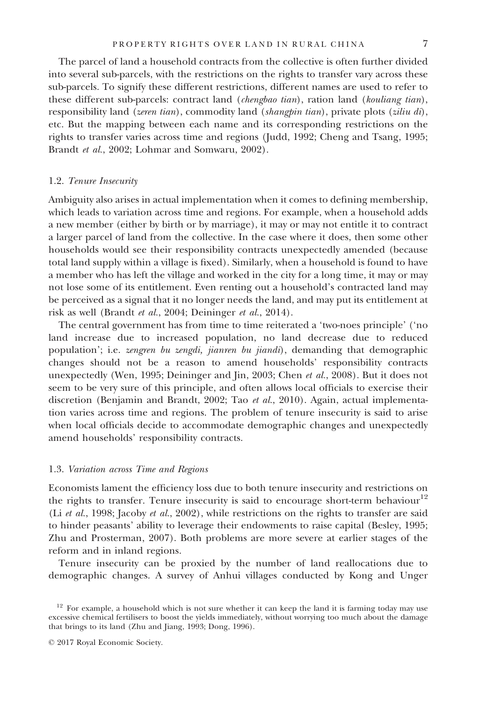The parcel of land a household contracts from the collective is often further divided into several sub-parcels, with the restrictions on the rights to transfer vary across these sub-parcels. To signify these different restrictions, different names are used to refer to these different sub-parcels: contract land (chengbao tian), ration land (kouliang tian), responsibility land (zeren tian), commodity land (shangpin tian), private plots (ziliu di), etc. But the mapping between each name and its corresponding restrictions on the rights to transfer varies across time and regions (Judd, 1992; Cheng and Tsang, 1995; Brandt et al., 2002; Lohmar and Somwaru, 2002).

## 1.2. Tenure Insecurity

Ambiguity also arises in actual implementation when it comes to defining membership, which leads to variation across time and regions. For example, when a household adds a new member (either by birth or by marriage), it may or may not entitle it to contract a larger parcel of land from the collective. In the case where it does, then some other households would see their responsibility contracts unexpectedly amended (because total land supply within a village is fixed). Similarly, when a household is found to have a member who has left the village and worked in the city for a long time, it may or may not lose some of its entitlement. Even renting out a household's contracted land may be perceived as a signal that it no longer needs the land, and may put its entitlement at risk as well (Brandt et al., 2004; Deininger et al., 2014).

The central government has from time to time reiterated a 'two-noes principle' ('no land increase due to increased population, no land decrease due to reduced population'; i.e. *zengren bu zengdi, jianren bu jiandi*), demanding that demographic changes should not be a reason to amend households' responsibility contracts unexpectedly (Wen, 1995; Deininger and Jin, 2003; Chen et al., 2008). But it does not seem to be very sure of this principle, and often allows local officials to exercise their discretion (Benjamin and Brandt, 2002; Tao et al., 2010). Again, actual implementation varies across time and regions. The problem of tenure insecurity is said to arise when local officials decide to accommodate demographic changes and unexpectedly amend households' responsibility contracts.

## 1.3. Variation across Time and Regions

Economists lament the efficiency loss due to both tenure insecurity and restrictions on the rights to transfer. Tenure insecurity is said to encourage short-term behaviour<sup>12</sup> (Li et al., 1998; Jacoby et al., 2002), while restrictions on the rights to transfer are said to hinder peasants' ability to leverage their endowments to raise capital (Besley, 1995; Zhu and Prosterman, 2007). Both problems are more severe at earlier stages of the reform and in inland regions.

Tenure insecurity can be proxied by the number of land reallocations due to demographic changes. A survey of Anhui villages conducted by Kong and Unger

 $12$  For example, a household which is not sure whether it can keep the land it is farming today may use excessive chemical fertilisers to boost the yields immediately, without worrying too much about the damage that brings to its land (Zhu and Jiang, 1993; Dong, 1996).

<sup>©</sup> 2017 Royal Economic Society.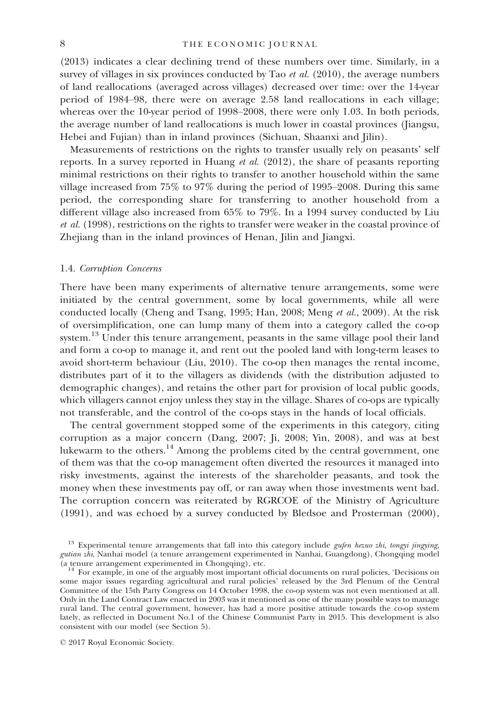(2013) indicates a clear declining trend of these numbers over time. Similarly, in a survey of villages in six provinces conducted by Tao *et al.*  $(2010)$ , the average numbers of land reallocations (averaged across villages) decreased over time: over the 14-year period of 1984–98, there were on average 2.58 land reallocations in each village; whereas over the 10-year period of 1998–2008, there were only 1.03. In both periods, the average number of land reallocations is much lower in coastal provinces (Jiangsu, Hebei and Fujian) than in inland provinces (Sichuan, Shaanxi and Jilin).

Measurements of restrictions on the rights to transfer usually rely on peasants' self reports. In a survey reported in Huang et al. (2012), the share of peasants reporting minimal restrictions on their rights to transfer to another household within the same village increased from 75% to 97% during the period of 1995–2008. During this same period, the corresponding share for transferring to another household from a different village also increased from 65% to 79%. In a 1994 survey conducted by Liu et al. (1998), restrictions on the rights to transfer were weaker in the coastal province of Zhejiang than in the inland provinces of Henan, Jilin and Jiangxi.

## 1.4. Corruption Concerns

There have been many experiments of alternative tenure arrangements, some were initiated by the central government, some by local governments, while all were conducted locally (Cheng and Tsang, 1995; Han, 2008; Meng et al., 2009). At the risk of oversimplification, one can lump many of them into a category called the co-op system.<sup>13</sup> Under this tenure arrangement, peasants in the same village pool their land and form a co-op to manage it, and rent out the pooled land with long-term leases to avoid short-term behaviour (Liu, 2010). The co-op then manages the rental income, distributes part of it to the villagers as dividends (with the distribution adjusted to demographic changes), and retains the other part for provision of local public goods, which villagers cannot enjoy unless they stay in the village. Shares of co-ops are typically not transferable, and the control of the co-ops stays in the hands of local officials.

The central government stopped some of the experiments in this category, citing corruption as a major concern (Dang, 2007; Ji, 2008; Yin, 2008), and was at best lukewarm to the others.<sup>14</sup> Among the problems cited by the central government, one of them was that the co-op management often diverted the resources it managed into risky investments, against the interests of the shareholder peasants, and took the money when these investments pay off, or ran away when those investments went bad. The corruption concern was reiterated by RGRCOE of the Ministry of Agriculture (1991), and was echoed by a survey conducted by Bledsoe and Prosterman (2000),

<sup>&</sup>lt;sup>13</sup> Experimental tenure arrangements that fall into this category include *gufen hezuo zhi*, tongyi jingying, gutian zhi, Nanhai model (a tenure arrangement experimented in Nanhai, Guangdong), Chongqing model (a tenure arrangement experimented in Chongqing), etc.

 $14$  For example, in one of the arguably most important official documents on rural policies, 'Decisions on some major issues regarding agricultural and rural policies' released by the 3rd Plenum of the Central Committee of the 15th Party Congress on 14 October 1998, the co-op system was not even mentioned at all. Only in the Land Contract Law enacted in 2003 was it mentioned as one of the many possible ways to manage rural land. The central government, however, has had a more positive attitude towards the co-op system lately, as reflected in Document No.1 of the Chinese Communist Party in 2015. This development is also consistent with our model (see Section 5).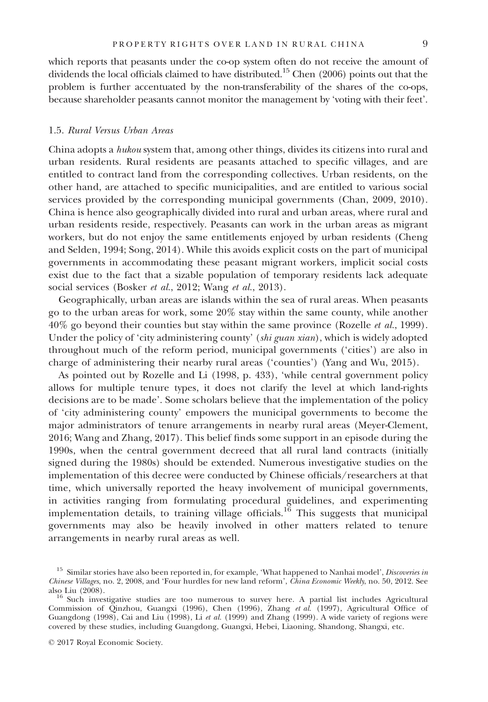which reports that peasants under the co-op system often do not receive the amount of dividends the local officials claimed to have distributed.<sup>15</sup> Chen (2006) points out that the problem is further accentuated by the non-transferability of the shares of the co-ops, because shareholder peasants cannot monitor the management by 'voting with their feet'.

## 1.5. Rural Versus Urban Areas

China adopts a hukou system that, among other things, divides its citizens into rural and urban residents. Rural residents are peasants attached to specific villages, and are entitled to contract land from the corresponding collectives. Urban residents, on the other hand, are attached to specific municipalities, and are entitled to various social services provided by the corresponding municipal governments (Chan, 2009, 2010). China is hence also geographically divided into rural and urban areas, where rural and urban residents reside, respectively. Peasants can work in the urban areas as migrant workers, but do not enjoy the same entitlements enjoyed by urban residents (Cheng and Selden, 1994; Song, 2014). While this avoids explicit costs on the part of municipal governments in accommodating these peasant migrant workers, implicit social costs exist due to the fact that a sizable population of temporary residents lack adequate social services (Bosker et al., 2012; Wang et al., 2013).

Geographically, urban areas are islands within the sea of rural areas. When peasants go to the urban areas for work, some 20% stay within the same county, while another  $40\%$  go beyond their counties but stay within the same province (Rozelle *et al.*, 1999). Under the policy of 'city administering county' (shi guan xian), which is widely adopted throughout much of the reform period, municipal governments ('cities') are also in charge of administering their nearby rural areas ('counties') (Yang and Wu, 2015).

As pointed out by Rozelle and Li (1998, p. 433), 'while central government policy allows for multiple tenure types, it does not clarify the level at which land-rights decisions are to be made'. Some scholars believe that the implementation of the policy of 'city administering county' empowers the municipal governments to become the major administrators of tenure arrangements in nearby rural areas (Meyer-Clement, 2016; Wang and Zhang, 2017). This belief finds some support in an episode during the 1990s, when the central government decreed that all rural land contracts (initially signed during the 1980s) should be extended. Numerous investigative studies on the implementation of this decree were conducted by Chinese officials/researchers at that time, which universally reported the heavy involvement of municipal governments, in activities ranging from formulating procedural guidelines, and experimenting implementation details, to training village officials.<sup>16</sup> This suggests that municipal governments may also be heavily involved in other matters related to tenure arrangements in nearby rural areas as well.

<sup>&</sup>lt;sup>15</sup> Similar stories have also been reported in, for example, 'What happened to Nanhai model', Discoveries in Chinese Villages, no. 2, 2008, and 'Four hurdles for new land reform', China Economic Weekly, no. 50, 2012. See also Liu (2008).<br><sup>16</sup> Such investigative studies are too numerous to survey here. A partial list includes Agricultural

Commission of Qinzhou, Guangxi (1996), Chen (1996), Zhang et al. (1997), Agricultural Office of Guangdong (1998), Cai and Liu (1998), Li et al. (1999) and Zhang (1999). A wide variety of regions were covered by these studies, including Guangdong, Guangxi, Hebei, Liaoning, Shandong, Shangxi, etc.

<sup>©</sup> 2017 Royal Economic Society.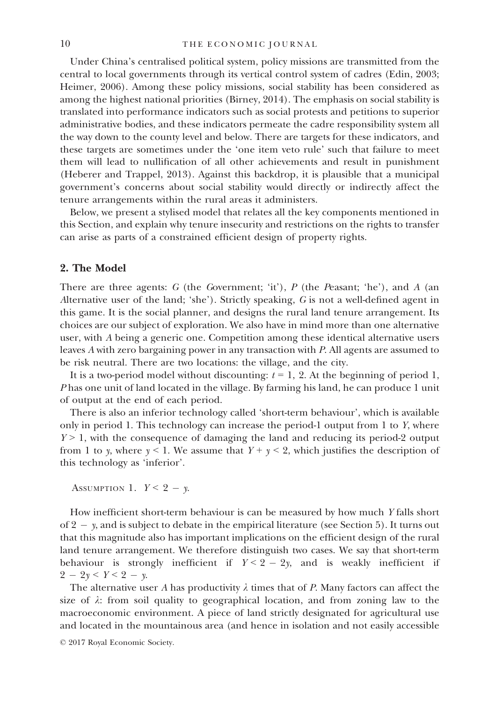Under China's centralised political system, policy missions are transmitted from the central to local governments through its vertical control system of cadres (Edin, 2003; Heimer, 2006). Among these policy missions, social stability has been considered as among the highest national priorities (Birney, 2014). The emphasis on social stability is translated into performance indicators such as social protests and petitions to superior administrative bodies, and these indicators permeate the cadre responsibility system all the way down to the county level and below. There are targets for these indicators, and these targets are sometimes under the 'one item veto rule' such that failure to meet them will lead to nullification of all other achievements and result in punishment (Heberer and Trappel, 2013). Against this backdrop, it is plausible that a municipal government's concerns about social stability would directly or indirectly affect the tenure arrangements within the rural areas it administers.

Below, we present a stylised model that relates all the key components mentioned in this Section, and explain why tenure insecurity and restrictions on the rights to transfer can arise as parts of a constrained efficient design of property rights.

## 2. The Model

There are three agents: G (the Government; 'it'),  $P$  (the Peasant; 'he'), and  $A$  (an Alternative user of the land; 'she'). Strictly speaking, G is not a well-defined agent in this game. It is the social planner, and designs the rural land tenure arrangement. Its choices are our subject of exploration. We also have in mind more than one alternative user, with A being a generic one. Competition among these identical alternative users leaves A with zero bargaining power in any transaction with P. All agents are assumed to be risk neutral. There are two locations: the village, and the city.

It is a two-period model without discounting:  $t = 1$ , 2. At the beginning of period 1, P has one unit of land located in the village. By farming his land, he can produce 1 unit of output at the end of each period.

There is also an inferior technology called 'short-term behaviour', which is available only in period 1. This technology can increase the period-1 output from 1 to  $Y$ , where  $Y > 1$ , with the consequence of damaging the land and reducing its period-2 output from 1 to y, where  $y < 1$ . We assume that  $Y + y < 2$ , which justifies the description of this technology as 'inferior'.

ASSUMPTION 1.  $Y < 2 - y$ .

How inefficient short-term behaviour is can be measured by how much Y falls short of  $2 - y$ , and is subject to debate in the empirical literature (see Section 5). It turns out that this magnitude also has important implications on the efficient design of the rural land tenure arrangement. We therefore distinguish two cases. We say that short-term behaviour is strongly inefficient if  $Y < 2 - 2y$ , and is weakly inefficient if  $2 - 2y < Y < 2 - y$ .

The alternative user A has productivity  $\lambda$  times that of P. Many factors can affect the size of  $\lambda$ : from soil quality to geographical location, and from zoning law to the macroeconomic environment. A piece of land strictly designated for agricultural use and located in the mountainous area (and hence in isolation and not easily accessible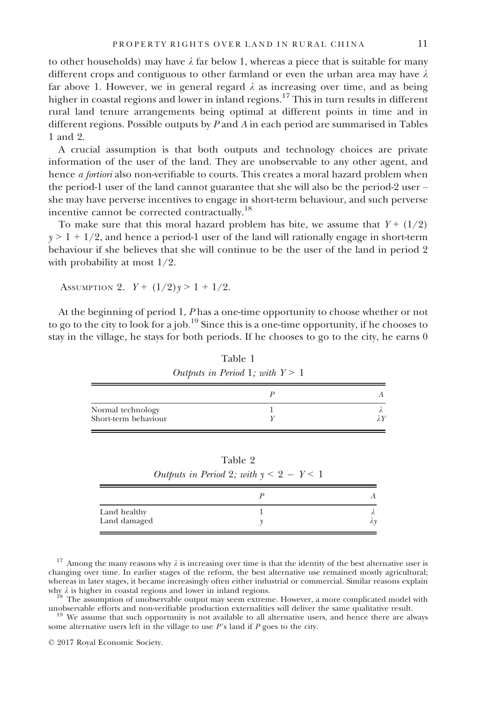to other households) may have  $\lambda$  far below 1, whereas a piece that is suitable for many different crops and contiguous to other farmland or even the urban area may have  $\lambda$ far above 1. However, we in general regard  $\lambda$  as increasing over time, and as being higher in coastal regions and lower in inland regions.<sup>17</sup> This in turn results in different rural land tenure arrangements being optimal at different points in time and in different regions. Possible outputs by  $P$  and  $A$  in each period are summarised in Tables 1 and 2.

A crucial assumption is that both outputs and technology choices are private information of the user of the land. They are unobservable to any other agent, and hence *a fortiori* also non-verifiable to courts. This creates a moral hazard problem when the period-1 user of the land cannot guarantee that she will also be the period-2 user – she may have perverse incentives to engage in short-term behaviour, and such perverse incentive cannot be corrected contractually.<sup>18</sup>

To make sure that this moral hazard problem has bite, we assume that  $Y + (1/2)$  $y > 1 + 1/2$ , and hence a period-1 user of the land will rationally engage in short-term behaviour if she believes that she will continue to be the user of the land in period 2 with probability at most 1/2.

ASSUMPTION 2.  $Y + (1/2)y > 1 + 1/2$ .

At the beginning of period 1, P has a one-time opportunity to choose whether or not to go to the city to look for a job.<sup>19</sup> Since this is a one-time opportunity, if he chooses to stay in the village, he stays for both periods. If he chooses to go to the city, he earns 0

| Outputs in Period 1; with $Y > 1$         |  |  |  |
|-------------------------------------------|--|--|--|
|                                           |  |  |  |
| Normal technology<br>Short-term behaviour |  |  |  |

Table 1 Outputs in Period 1; with  $Y > 1$ 

Table 2 Outputs in Period 2; with  $y < 2 - Y < 1$ 

| Land healthy<br>Land damaged | π<br>$\wedge$ |
|------------------------------|---------------|

<sup>17</sup> Among the many reasons why  $\lambda$  is increasing over time is that the identity of the best alternative user is changing over time. In earlier stages of the reform, the best alternative use remained mostly agricultural; whereas in later stages, it became increasingly often either industrial or commercial. Similar reasons explain

why  $\lambda$  is higher in coastal regions and lower in inland regions.<br><sup>18</sup> The assumption of unobservable output may seem extreme. However, a more complicated model with unobservable efforts and non-verifiable production ext

 $19$  We assume that such opportunity is not available to all alternative users, and hence there are always some alternative users left in the village to use  $P$ 's land if  $P$  goes to the city.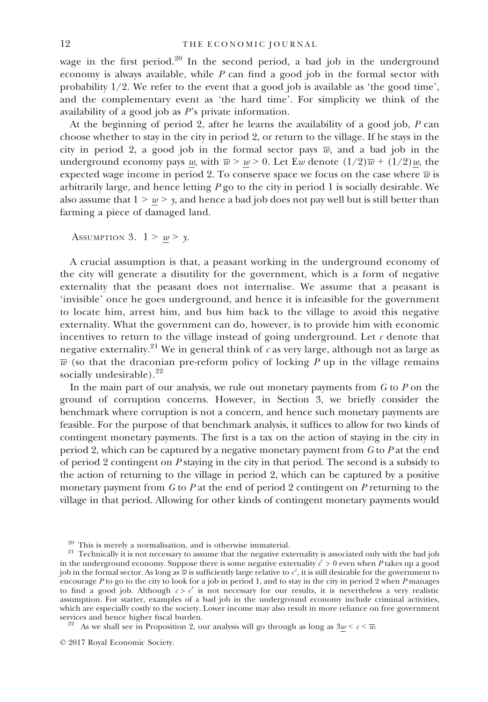wage in the first period.<sup>20</sup> In the second period, a bad job in the underground economy is always available, while P can find a good job in the formal sector with probability  $1/2$ . We refer to the event that a good job is available as 'the good time', and the complementary event as 'the hard time'. For simplicity we think of the availability of a good job as P's private information.

At the beginning of period 2, after he learns the availability of a good job, P can choose whether to stay in the city in period 2, or return to the village. If he stays in the city in period 2, a good job in the formal sector pays  $\overline{w}$ , and a bad job in the underground economy pays w, with  $\overline{w} > w > 0$ . Let Ew denote  $(1/2)\overline{w} + (1/2)w$ , the expected wage income in period 2. To conserve space we focus on the case where  $\overline{w}$  is arbitrarily large, and hence letting  $P$  go to the city in period 1 is socially desirable. We also assume that  $1 > w > y$ , and hence a bad job does not pay well but is still better than farming a piece of damaged land.

ASSUMPTION 3.  $1 > w > y$ .

A crucial assumption is that, a peasant working in the underground economy of the city will generate a disutility for the government, which is a form of negative externality that the peasant does not internalise. We assume that a peasant is 'invisible' once he goes underground, and hence it is infeasible for the government to locate him, arrest him, and bus him back to the village to avoid this negative externality. What the government can do, however, is to provide him with economic incentives to return to the village instead of going underground. Let  $c$  denote that negative externality.<sup>21</sup> We in general think of  $\overline{c}$  as very large, although not as large as  $\overline{w}$  (so that the draconian pre-reform policy of locking P up in the village remains socially undesirable). $22$ 

In the main part of our analysis, we rule out monetary payments from  $G$  to  $P$  on the ground of corruption concerns. However, in Section 3, we briefly consider the benchmark where corruption is not a concern, and hence such monetary payments are feasible. For the purpose of that benchmark analysis, it suffices to allow for two kinds of contingent monetary payments. The first is a tax on the action of staying in the city in period 2, which can be captured by a negative monetary payment from G to P at the end of period 2 contingent on P staying in the city in that period. The second is a subsidy to the action of returning to the village in period 2, which can be captured by a positive monetary payment from  $G$  to  $P$  at the end of period 2 contingent on  $P$  returning to the village in that period. Allowing for other kinds of contingent monetary payments would

 $20$  This is merely a normalisation, and is otherwise immaterial.<br><sup>21</sup> Technically it is not necessary to assume that the negative externality is associated only with the bad job in the underground economy. Suppose there is some negative externality  $\ell > 0$  even when  $P$  takes up a good job in the formal sector. As long as  $\overline{w}$  is sufficiently large relative to  $c'$ , it is still desirable for the government to encourage  $P$  to go to the city to look for a job in period 1, and to stay in the city in period 2 when  $P$  manages to find a good job. Although  $c > c'$  is not necessary for our results, it is nevertheless a very realistic assumption. For starter, examples of a bad job in the underground economy include criminal activities, which are especially costly to the society. Lower income may also result in more reliance on free government services and hence higher fiscal burden.

<sup>&</sup>lt;sup>22</sup> As we shall see in Proposition 2, our analysis will go through as long as  $3w < c < \overline{w}$ .

<sup>©</sup> 2017 Royal Economic Society.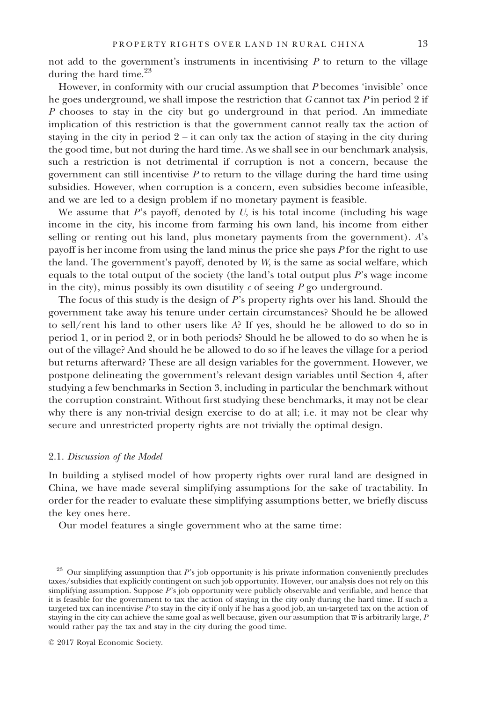not add to the government's instruments in incentivising  $P$  to return to the village during the hard time. $23$ 

However, in conformity with our crucial assumption that P becomes 'invisible' once he goes underground, we shall impose the restriction that  $G$  cannot tax  $P$  in period 2 if P chooses to stay in the city but go underground in that period. An immediate implication of this restriction is that the government cannot really tax the action of staying in the city in period  $2 - it$  can only tax the action of staying in the city during the good time, but not during the hard time. As we shall see in our benchmark analysis, such a restriction is not detrimental if corruption is not a concern, because the government can still incentivise  $P$  to return to the village during the hard time using subsidies. However, when corruption is a concern, even subsidies become infeasible, and we are led to a design problem if no monetary payment is feasible.

We assume that  $P$ 's payoff, denoted by  $U$ , is his total income (including his wage income in the city, his income from farming his own land, his income from either selling or renting out his land, plus monetary payments from the government). A's payoff is her income from using the land minus the price she pays P for the right to use the land. The government's payoff, denoted by W, is the same as social welfare, which equals to the total output of the society (the land's total output plus P's wage income in the city), minus possibly its own disutility  $c$  of seeing  $P$  go underground.

The focus of this study is the design of  $P$ 's property rights over his land. Should the government take away his tenure under certain circumstances? Should he be allowed to sell/rent his land to other users like A? If yes, should he be allowed to do so in period 1, or in period 2, or in both periods? Should he be allowed to do so when he is out of the village? And should he be allowed to do so if he leaves the village for a period but returns afterward? These are all design variables for the government. However, we postpone delineating the government's relevant design variables until Section 4, after studying a few benchmarks in Section 3, including in particular the benchmark without the corruption constraint. Without first studying these benchmarks, it may not be clear why there is any non-trivial design exercise to do at all; i.e. it may not be clear why secure and unrestricted property rights are not trivially the optimal design.

## 2.1. Discussion of the Model

In building a stylised model of how property rights over rural land are designed in China, we have made several simplifying assumptions for the sake of tractability. In order for the reader to evaluate these simplifying assumptions better, we briefly discuss the key ones here.

Our model features a single government who at the same time:

 $23$  Our simplifying assumption that P's job opportunity is his private information conveniently precludes taxes/subsidies that explicitly contingent on such job opportunity. However, our analysis does not rely on this simplifying assumption. Suppose P's job opportunity were publicly observable and verifiable, and hence that it is feasible for the government to tax the action of staying in the city only during the hard time. If such a targeted tax can incentivise P to stay in the city if only if he has a good job, an un-targeted tax on the action of staying in the city can achieve the same goal as well because, given our assumption that  $\overline{w}$  is arbitrarily large, P would rather pay the tax and stay in the city during the good time.

<sup>©</sup> 2017 Royal Economic Society.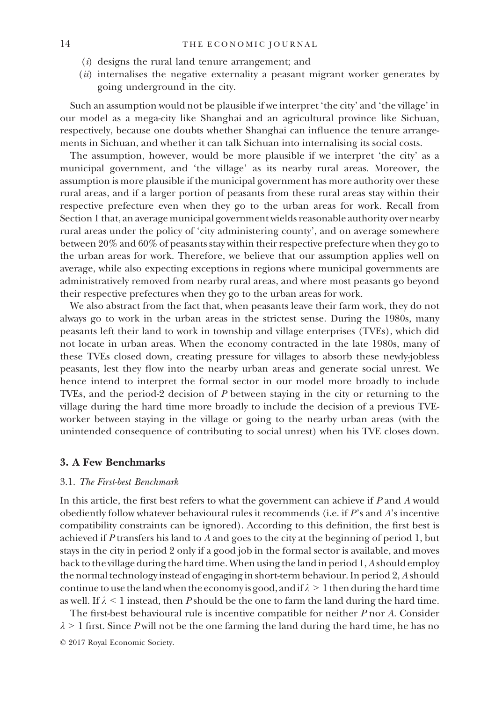- (i) designs the rural land tenure arrangement; and
- (ii) internalises the negative externality a peasant migrant worker generates by going underground in the city.

Such an assumption would not be plausible if we interpret 'the city' and 'the village' in our model as a mega-city like Shanghai and an agricultural province like Sichuan, respectively, because one doubts whether Shanghai can influence the tenure arrangements in Sichuan, and whether it can talk Sichuan into internalising its social costs.

The assumption, however, would be more plausible if we interpret 'the city' as a municipal government, and 'the village' as its nearby rural areas. Moreover, the assumption is more plausible if the municipal government has more authority over these rural areas, and if a larger portion of peasants from these rural areas stay within their respective prefecture even when they go to the urban areas for work. Recall from Section 1 that, an average municipal government wields reasonable authority over nearby rural areas under the policy of 'city administering county', and on average somewhere between 20% and 60% of peasants stay within their respective prefecture when they go to the urban areas for work. Therefore, we believe that our assumption applies well on average, while also expecting exceptions in regions where municipal governments are administratively removed from nearby rural areas, and where most peasants go beyond their respective prefectures when they go to the urban areas for work.

We also abstract from the fact that, when peasants leave their farm work, they do not always go to work in the urban areas in the strictest sense. During the 1980s, many peasants left their land to work in township and village enterprises (TVEs), which did not locate in urban areas. When the economy contracted in the late 1980s, many of these TVEs closed down, creating pressure for villages to absorb these newly-jobless peasants, lest they flow into the nearby urban areas and generate social unrest. We hence intend to interpret the formal sector in our model more broadly to include TVEs, and the period-2 decision of P between staying in the city or returning to the village during the hard time more broadly to include the decision of a previous TVEworker between staying in the village or going to the nearby urban areas (with the unintended consequence of contributing to social unrest) when his TVE closes down.

## 3. A Few Benchmarks

#### 3.1. The First-best Benchmark

In this article, the first best refers to what the government can achieve if P and A would obediently follow whatever behavioural rules it recommends (i.e. if P's and A's incentive compatibility constraints can be ignored). According to this definition, the first best is achieved if  $P$  transfers his land to  $A$  and goes to the city at the beginning of period  $1$ , but stays in the city in period 2 only if a good job in the formal sector is available, and moves back to the village during the hard time. When using the land in period  $1, A$  should employ the normal technology instead of engaging in short-term behaviour. In period 2, A should continue to use the land when the economy is good, and if  $\lambda > 1$  then during the hard time as well. If  $\lambda$  < 1 instead, then P should be the one to farm the land during the hard time.

The first-best behavioural rule is incentive compatible for neither P nor A. Consider  $\lambda > 1$  first. Since P will not be the one farming the land during the hard time, he has no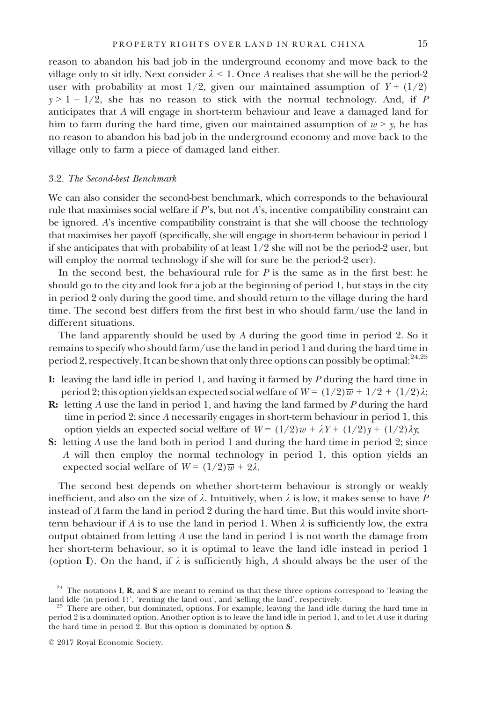reason to abandon his bad job in the underground economy and move back to the village only to sit idly. Next consider  $\lambda$  < 1. Once A realises that she will be the period-2 user with probability at most 1/2, given our maintained assumption of  $Y + (1/2)$  $y > 1 + 1/2$ , she has no reason to stick with the normal technology. And, if P anticipates that A will engage in short-term behaviour and leave a damaged land for him to farm during the hard time, given our maintained assumption of  $w > y$ , he has no reason to abandon his bad job in the underground economy and move back to the village only to farm a piece of damaged land either.

### 3.2. The Second-best Benchmark

We can also consider the second-best benchmark, which corresponds to the behavioural rule that maximises social welfare if P's, but not A's, incentive compatibility constraint can be ignored. A's incentive compatibility constraint is that she will choose the technology that maximises her payoff (specifically, she will engage in short-term behaviour in period 1 if she anticipates that with probability of at least  $1/2$  she will not be the period-2 user, but will employ the normal technology if she will for sure be the period-2 user).

In the second best, the behavioural rule for  $P$  is the same as in the first best: he should go to the city and look for a job at the beginning of period 1, but stays in the city in period 2 only during the good time, and should return to the village during the hard time. The second best differs from the first best in who should farm/use the land in different situations.

The land apparently should be used by A during the good time in period 2. So it remains to specify who should farm/use the land in period 1 and during the hard time in period 2, respectively. It can be shown that only three options can possibly be optimal: <sup>24,25</sup>

- I: leaving the land idle in period 1, and having it farmed by  $P$  during the hard time in period 2; this option yields an expected social welfare of  $W = (1/2)\overline{w} + 1/2 + (1/2)\lambda$ ;
- **R:** letting A use the land in period 1, and having the land farmed by  $P$  during the hard time in period 2; since A necessarily engages in short-term behaviour in period 1, this option yields an expected social welfare of  $W = (1/2)\overline{w} + \lambda Y + (1/2)\gamma + (1/2)\lambda$ ;
- **S:** letting  $A$  use the land both in period 1 and during the hard time in period 2; since A will then employ the normal technology in period 1, this option yields an expected social welfare of  $W = (1/2)\overline{w} + 2\lambda$ .

The second best depends on whether short-term behaviour is strongly or weakly inefficient, and also on the size of  $\lambda$ . Intuitively, when  $\lambda$  is low, it makes sense to have P instead of A farm the land in period 2 during the hard time. But this would invite shortterm behaviour if A is to use the land in period 1. When  $\lambda$  is sufficiently low, the extra output obtained from letting A use the land in period 1 is not worth the damage from her short-term behaviour, so it is optimal to leave the land idle instead in period 1 (option I). On the hand, if  $\lambda$  is sufficiently high, A should always be the user of the

<sup>&</sup>lt;sup>24</sup> The notations **I, R**, and **S** are meant to remind us that these three options correspond to 'leaving the land idle (in period 1)', 'renting the land out', and 'selling the land', respectively.

 $\frac{1}{2}$ . There are other, but dominated, options. For example, leaving the land idle during the hard time in period 2 is a dominated option. Another option is to leave the land idle in period 1, and to let A use it during the hard time in period  $\hat{2}$ . But this option is dominated by option S.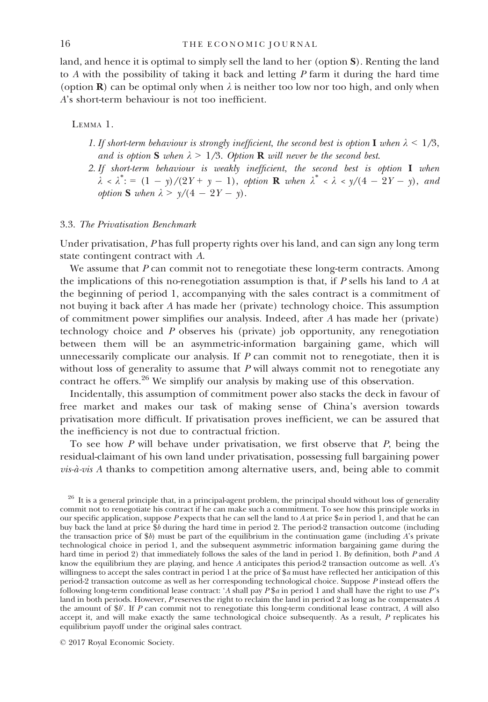land, and hence it is optimal to simply sell the land to her (option S). Renting the land to  $A$  with the possibility of taking it back and letting  $P$  farm it during the hard time (option **R**) can be optimal only when  $\lambda$  is neither too low nor too high, and only when A's short-term behaviour is not too inefficient.

LEMMA<sub>1</sub>.

- 1. If short-term behaviour is strongly inefficient, the second best is option I when  $\lambda < 1/3$ , and is option S when  $\lambda > 1/3$ . Option R will never be the second best.
- 2. If short-term behaviour is weakly inefficient, the second best is option I when  $\lambda < \lambda^* := (1 - y)/(2Y + y - 1)$ , option **R** when  $\lambda^* < \lambda < y/(4 - 2Y - y)$ , and option **S** when  $\lambda > y/(4 - 2Y - y)$ option S when  $\lambda > \gamma/(4 - 2Y - \gamma)$ .

## 3.3. The Privatisation Benchmark

Under privatisation, P has full property rights over his land, and can sign any long term state contingent contract with A.

We assume that  $P$  can commit not to renegotiate these long-term contracts. Among the implications of this no-renegotiation assumption is that, if  $P$  sells his land to  $A$  at the beginning of period 1, accompanying with the sales contract is a commitment of not buying it back after A has made her (private) technology choice. This assumption of commitment power simplifies our analysis. Indeed, after A has made her (private) technology choice and P observes his (private) job opportunity, any renegotiation between them will be an asymmetric-information bargaining game, which will unnecessarily complicate our analysis. If  $P$  can commit not to renegotiate, then it is without loss of generality to assume that  $P$  will always commit not to renegotiate any contract he offers.  $26$  We simplify our analysis by making use of this observation.

Incidentally, this assumption of commitment power also stacks the deck in favour of free market and makes our task of making sense of China's aversion towards privatisation more difficult. If privatisation proves inefficient, we can be assured that the inefficiency is not due to contractual friction.

To see how  $P$  will behave under privatisation, we first observe that  $P$ , being the residual-claimant of his own land under privatisation, possessing full bargaining power  $vis-\hat{a}-vis$  A thanks to competition among alternative users, and, being able to commit

 $26$  It is a general principle that, in a principal-agent problem, the principal should without loss of generality commit not to renegotiate his contract if he can make such a commitment. To see how this principle works in our specific application, suppose P expects that he can sell the land to A at price \$a in period 1, and that he can buy back the land at price \$b during the hard time in period 2. The period-2 transaction outcome (including the transaction price of \$b) must be part of the equilibrium in the continuation game (including A's private technological choice in period 1, and the subsequent asymmetric information bargaining game during the hard time in period 2) that immediately follows the sales of the land in period 1. By definition, both P and A know the equilibrium they are playing, and hence A anticipates this period-2 transaction outcome as well. A's willingness to accept the sales contract in period 1 at the price of \$a must have reflected her anticipation of this period-2 transaction outcome as well as her corresponding technological choice. Suppose P instead offers the following long-term conditional lease contract: 'A shall pay  $P$  \$ a in period 1 and shall have the right to use  $P$ 's land in both periods. However, P reserves the right to reclaim the land in period 2 as long as he compensates A the amount of  $$b'$ . If P can commit not to renegotiate this long-term conditional lease contract, A will also accept it, and will make exactly the same technological choice subsequently. As a result,  $P$  replicates his equilibrium payoff under the original sales contract.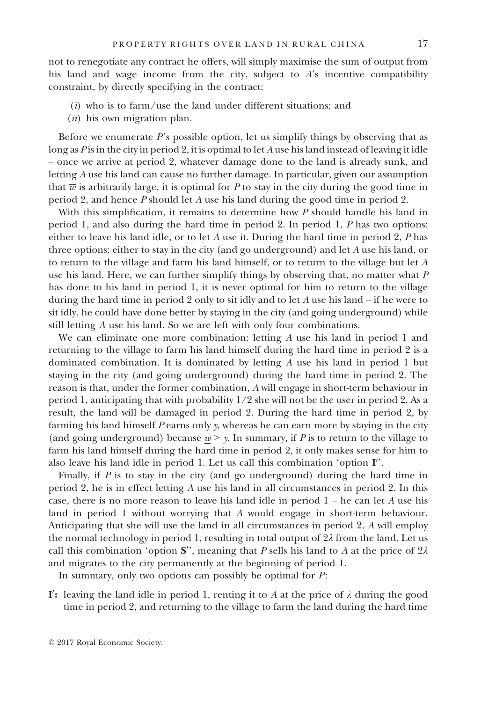not to renegotiate any contract he offers, will simply maximise the sum of output from his land and wage income from the city, subject to A's incentive compatibility constraint, by directly specifying in the contract:

- $(i)$  who is to farm/use the land under different situations; and
- (*ii*) his own migration plan.

Before we enumerate P's possible option, let us simplify things by observing that as long as P is in the city in period 2, it is optimal to let A use his land instead of leaving it idle – once we arrive at period 2, whatever damage done to the land is already sunk, and letting A use his land can cause no further damage. In particular, given our assumption that  $\overline{w}$  is arbitrarily large, it is optimal for P to stay in the city during the good time in period 2, and hence P should let A use his land during the good time in period 2.

With this simplification, it remains to determine how  $P$  should handle his land in period 1, and also during the hard time in period 2. In period 1, P has two options: either to leave his land idle, or to let  $A$  use it. During the hard time in period 2,  $P$  has three options: either to stay in the city (and go underground) and let A use his land, or to return to the village and farm his land himself, or to return to the village but let A use his land. Here, we can further simplify things by observing that, no matter what  $P$ has done to his land in period 1, it is never optimal for him to return to the village during the hard time in period 2 only to sit idly and to let A use his land – if he were to sit idly, he could have done better by staying in the city (and going underground) while still letting A use his land. So we are left with only four combinations.

We can eliminate one more combination: letting A use his land in period 1 and returning to the village to farm his land himself during the hard time in period 2 is a dominated combination. It is dominated by letting  $A$  use his land in period 1 but staying in the city (and going underground) during the hard time in period 2. The reason is that, under the former combination, A will engage in short-term behaviour in period 1, anticipating that with probability 1/2 she will not be the user in period 2. As a result, the land will be damaged in period 2. During the hard time in period 2, by farming his land himself  $P$  earns only  $\gamma$ , whereas he can earn more by staying in the city (and going underground) because  $w > y$ . In summary, if P is to return to the village to farm his land himself during the hard time in period 2, it only makes sense for him to also leave his land idle in period  $1.$  Let us call this combination 'option  $\mathbf{I}^{\prime}$ '.

Finally, if  $P$  is to stay in the city (and go underground) during the hard time in period 2, he is in effect letting A use his land in all circumstances in period 2. In this case, there is no more reason to leave his land idle in period  $1 - he$  can let A use his land in period 1 without worrying that A would engage in short-term behaviour. Anticipating that she will use the land in all circumstances in period 2, A will employ the normal technology in period 1, resulting in total output of  $2\lambda$  from the land. Let us call this combination 'option  $\mathbf{S}'$ ', meaning that P sells his land to A at the price of 2 $\lambda$ and migrates to the city permanently at the beginning of period 1.

In summary, only two options can possibly be optimal for  $P$ :

 ${\bf I}'$ : leaving the land idle in period 1, renting it to  $A$  at the price of  $\lambda$  during the good time in period 2, and returning to the village to farm the land during the hard time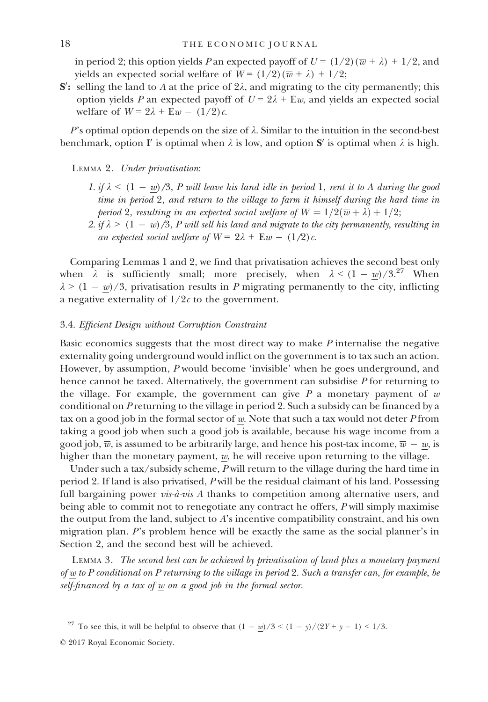in period 2; this option yields P an expected payoff of  $U = (1/2)(\overline{w} + \lambda) + 1/2$ , and yields an expected social welfare of  $W = (1/2)(\overline{w} + \lambda) + 1/2$ ;

 ${\bf S}'$ : selling the land to  $A$  at the price of 2 $\lambda$ , and migrating to the city permanently; this option yields P an expected payoff of  $U = 2\lambda + E w$ , and yields an expected social welfare of  $W = 2\lambda + Ew - (1/2)c$ .

P's optimal option depends on the size of  $\lambda$ . Similar to the intuition in the second-best benchmark, option  $\mathbf{I}'$  is optimal when  $\lambda$  is low, and option  $\mathbf{S}'$  is optimal when  $\lambda$  is high.

## LEMMA 2. Under privatisation:

- 1. if  $\lambda \leq (1 w)/3$ , P will leave his land idle in period 1, rent it to A during the good time in period 2, and return to the village to farm it himself during the hard time in period 2, resulting in an expected social welfare of  $W = 1/2(\overline{w} + \lambda) + 1/2$ ;
- 2. if  $\lambda > (1 w)/3$ , P will sell his land and migrate to the city permanently, resulting in an expected social welfare of  $W = 2\lambda + Ew - (1/2)c$ .

Comparing Lemmas 1 and 2, we find that privatisation achieves the second best only when  $\lambda$  is sufficiently small; more precisely, when  $\lambda < (1 - w)/3$ .<sup>27</sup> When  $\lambda > (1 - w)/3$ , privatisation results in P migrating permanently to the city, inflicting a negative externality of  $1/2c$  to the government.

## 3.4. Efficient Design without Corruption Constraint

Basic economics suggests that the most direct way to make P internalise the negative externality going underground would inflict on the government is to tax such an action. However, by assumption, P would become 'invisible' when he goes underground, and hence cannot be taxed. Alternatively, the government can subsidise P for returning to the village. For example, the government can give  $P$  a monetary payment of  $w$ conditional on P returning to the village in period 2. Such a subsidy can be financed by a tax on a good job in the formal sector of  $w$ . Note that such a tax would not deter P from taking a good job when such a good job is available, because his wage income from a good job,  $\overline{w}$ , is assumed to be arbitrarily large, and hence his post-tax income,  $\overline{w} - w$ , is higher than the monetary payment,  $w$ , he will receive upon returning to the village.

Under such a tax/subsidy scheme,  $\overline{P}$  will return to the village during the hard time in period 2. If land is also privatised, P will be the residual claimant of his land. Possessing full bargaining power  $vis\cdot\hat{a}-visA$  thanks to competition among alternative users, and being able to commit not to renegotiate any contract he offers, P will simply maximise the output from the land, subject to A's incentive compatibility constraint, and his own migration plan. P's problem hence will be exactly the same as the social planner's in Section 2, and the second best will be achieved.

LEMMA 3. The second best can be achieved by privatisation of land plus a monetary payment of w to P conditional on P returning to the village in period 2. Such a transfer can, for example, be self-financed by a tax of w on a good job in the formal sector.

<sup>27</sup> To see this, it will be helpful to observe that  $(1 - w)/3 < (1 - y)/(2Y + y - 1) < 1/3$ .

<sup>©</sup> 2017 Royal Economic Society.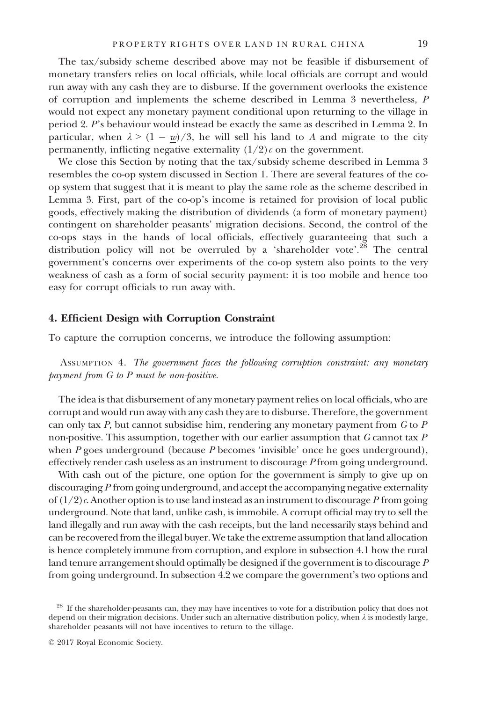The tax/subsidy scheme described above may not be feasible if disbursement of monetary transfers relies on local officials, while local officials are corrupt and would run away with any cash they are to disburse. If the government overlooks the existence of corruption and implements the scheme described in Lemma 3 nevertheless, P would not expect any monetary payment conditional upon returning to the village in period 2. P's behaviour would instead be exactly the same as described in Lemma 2. In particular, when  $\lambda > (1 - w)/3$ , he will sell his land to A and migrate to the city permanently, inflicting negative externality  $(1/2)c$  on the government.

We close this Section by noting that the tax/subsidy scheme described in Lemma 3 resembles the co-op system discussed in Section 1. There are several features of the coop system that suggest that it is meant to play the same role as the scheme described in Lemma 3. First, part of the co-op's income is retained for provision of local public goods, effectively making the distribution of dividends (a form of monetary payment) contingent on shareholder peasants' migration decisions. Second, the control of the co-ops stays in the hands of local officials, effectively guaranteeing that such a distribution policy will not be overruled by a 'shareholder vote'.<sup>28</sup> The central government's concerns over experiments of the co-op system also points to the very weakness of cash as a form of social security payment: it is too mobile and hence too easy for corrupt officials to run away with.

## 4. Efficient Design with Corruption Constraint

To capture the corruption concerns, we introduce the following assumption:

ASSUMPTION 4. The government faces the following corruption constraint: any monetary payment from G to P must be non-positive.

The idea is that disbursement of any monetary payment relies on local officials, who are corrupt and would run away with any cash they are to disburse. Therefore, the government can only tax  $P$ , but cannot subsidise him, rendering any monetary payment from  $G$  to  $P$ non-positive. This assumption, together with our earlier assumption that  $G$  cannot tax  $P$ when P goes underground (because P becomes 'invisible' once he goes underground), effectively render cash useless as an instrument to discourage P from going underground.

With cash out of the picture, one option for the government is simply to give up on discouraging P from going underground, and accept the accompanying negative externality of  $(1/2)c$ . Another option is to use land instead as an instrument to discourage P from going underground. Note that land, unlike cash, is immobile. A corrupt official may try to sell the land illegally and run away with the cash receipts, but the land necessarily stays behind and can be recovered from the illegal buyer.We take the extreme assumption thatland allocation is hence completely immune from corruption, and explore in subsection 4.1 how the rural land tenure arrangement should optimally be designed if the government is to discourage P from going underground. In subsection 4.2 we compare the government's two options and

<sup>&</sup>lt;sup>28</sup> If the shareholder-peasants can, they may have incentives to vote for a distribution policy that does not depend on their migration decisions. Under such an alternative distribution policy, when  $\lambda$  is modestly large, shareholder peasants will not have incentives to return to the village.

<sup>©</sup> 2017 Royal Economic Society.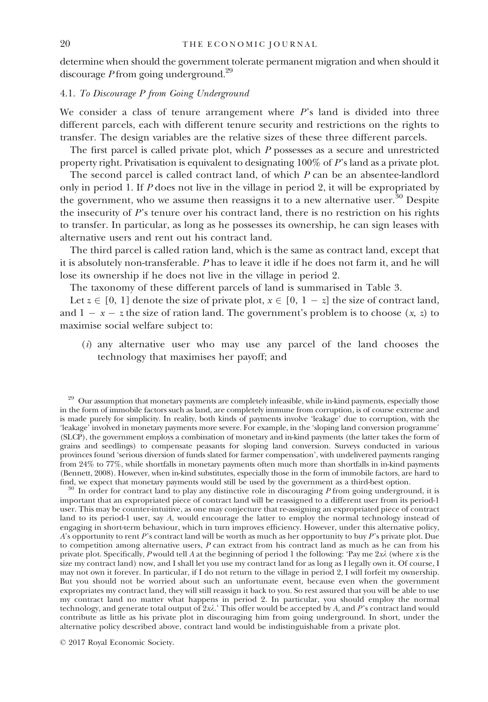determine when should the government tolerate permanent migration and when should it discourage  $P$  from going underground.<sup>29</sup>

## 4.1. To Discourage P from Going Underground

We consider a class of tenure arrangement where  $P$ 's land is divided into three different parcels, each with different tenure security and restrictions on the rights to transfer. The design variables are the relative sizes of these three different parcels.

The first parcel is called private plot, which P possesses as a secure and unrestricted property right. Privatisation is equivalent to designating 100% of P's land as a private plot.

The second parcel is called contract land, of which  $P$  can be an absentee-landlord only in period 1. If  $P$  does not live in the village in period 2, it will be expropriated by the government, who we assume then reassigns it to a new alternative user.<sup>30</sup> Despite the insecurity of  $P$ 's tenure over his contract land, there is no restriction on his rights to transfer. In particular, as long as he possesses its ownership, he can sign leases with alternative users and rent out his contract land.

The third parcel is called ration land, which is the same as contract land, except that it is absolutely non-transferable. P has to leave it idle if he does not farm it, and he will lose its ownership if he does not live in the village in period 2.

The taxonomy of these different parcels of land is summarised in Table 3.

Let  $z \in [0, 1]$  denote the size of private plot,  $x \in [0, 1 - z]$  the size of contract land, and  $1 - x - z$  the size of ration land. The government's problem is to choose  $(x, z)$  to maximise social welfare subject to:

(i) any alternative user who may use any parcel of the land chooses the technology that maximises her payoff; and

<sup>29</sup> Our assumption that monetary payments are completely infeasible, while in-kind payments, especially those in the form of immobile factors such as land, are completely immune from corruption, is of course extreme and is made purely for simplicity. In reality, both kinds of payments involve 'leakage' due to corruption, with the 'leakage' involved in monetary payments more severe. For example, in the 'sloping land conversion programme' (SLCP), the government employs a combination of monetary and in-kind payments (the latter takes the form of grains and seedlings) to compensate peasants for sloping land conversion. Surveys conducted in various provinces found 'serious diversion of funds slated for farmer compensation', with undelivered payments ranging from 24% to 77%, while shortfalls in monetary payments often much more than shortfalls in in-kind payments (Bennett, 2008). However, when in-kind substitutes, especially those in the form of immobile factors, are hard to

 $50$  In order for contract land to play any distinctive role in discouraging P from going underground, it is important that an expropriated piece of contract land will be reassigned to a different user from its period-1 user. This may be counter-intuitive, as one may conjecture that re-assigning an expropriated piece of contract land to its period-1 user, say A, would encourage the latter to employ the normal technology instead of engaging in short-term behaviour, which in turn improves efficiency. However, under this alternative policy, A's opportunity to rent P's contract land will be worth as much as her opportunity to buy P's private plot. Due to competition among alternative users, P can extract from his contract land as much as he can from his private plot. Specifically, P would tell A at the beginning of period 1 the following: 'Pay me  $2x\lambda$  (where x is the size my contract land) now, and I shall let you use my contract land for as long as I legally own it. Of course, I may not own it forever. In particular, if I do not return to the village in period 2, I will forfeit my ownership. But you should not be worried about such an unfortunate event, because even when the government expropriates my contract land, they will still reassign it back to you. So rest assured that you will be able to use my contract land no matter what happens in period 2. In particular, you should employ the normal technology, and generate total output of 2x $\lambda$ .' This offer would be accepted by  $A$ , and  $P$ 's contract land would contribute as little as his private plot in discouraging him from going underground. In short, under the alternative policy described above, contract land would be indistinguishable from a private plot.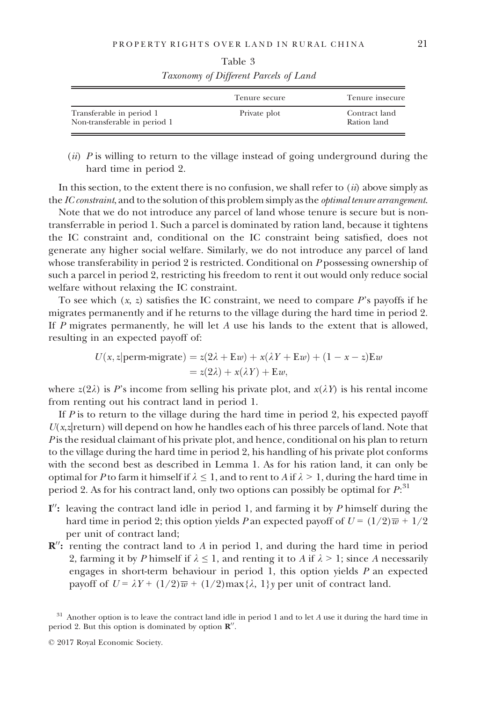|                                                          | Tenure secure | Tenure insecure              |
|----------------------------------------------------------|---------------|------------------------------|
| Transferable in period 1<br>Non-transferable in period 1 | Private plot  | Contract land<br>Ration land |

Table 3 Taxonomy of Different Parcels of Land

 $(ii)$  P is willing to return to the village instead of going underground during the hard time in period 2.

In this section, to the extent there is no confusion, we shall refer to  $(ii)$  above simply as the IC constraint, and to the solution of this problem simply as the *optimal tenure arrangement*.

Note that we do not introduce any parcel of land whose tenure is secure but is nontransferrable in period 1. Such a parcel is dominated by ration land, because it tightens the IC constraint and, conditional on the IC constraint being satisfied, does not generate any higher social welfare. Similarly, we do not introduce any parcel of land whose transferability in period 2 is restricted. Conditional on P possessing ownership of such a parcel in period 2, restricting his freedom to rent it out would only reduce social welfare without relaxing the IC constraint.

To see which  $(x, z)$  satisfies the IC constraint, we need to compare P's payoffs if he migrates permanently and if he returns to the village during the hard time in period 2. If  $P$  migrates permanently, he will let  $A$  use his lands to the extent that is allowed, resulting in an expected payoff of:

$$
U(x, z|perm\text{-}migrate) = z(2\lambda + Ew) + x(\lambda Y + Ew) + (1 - x - z)Ew
$$

$$
= z(2\lambda) + x(\lambda Y) + Ew,
$$

where  $z(2\lambda)$  is P's income from selling his private plot, and  $x(\lambda Y)$  is his rental income from renting out his contract land in period 1.

If  $P$  is to return to the village during the hard time in period 2, his expected payoff  $U(x,z|\text{return})$  will depend on how he handles each of his three parcels of land. Note that P is the residual claimant of his private plot, and hence, conditional on his plan to return to the village during the hard time in period 2, his handling of his private plot conforms with the second best as described in Lemma 1. As for his ration land, it can only be optimal for P to farm it himself if  $\lambda \leq 1$ , and to rent to A if  $\lambda > 1$ , during the hard time in period 2. As for his contract land, only two options can possibly be optimal for  $P^{31}$ .

- $I''$ : leaving the contract land idle in period 1, and farming it by P himself during the hard time in period 2; this option yields P an expected payoff of  $U = (1/2)\overline{w} + 1/2$ per unit of contract land;
- $\mathbb{R}^n$ : renting the contract land to A in period 1, and during the hard time in period 2, farming it by P himself if  $\lambda \leq 1$ , and renting it to A if  $\lambda > 1$ ; since A necessarily engages in short-term behaviour in period 1, this option yields  $P$  an expected payoff of  $U = \lambda Y + (1/2)\overline{w} + (1/2) \max{\lambda, 1}$  per unit of contract land.

 $31$  Another option is to leave the contract land idle in period 1 and to let A use it during the hard time in period 2. But this option is dominated by option  $\mathbb{R}^{\prime\prime}$ .

<sup>©</sup> 2017 Royal Economic Society.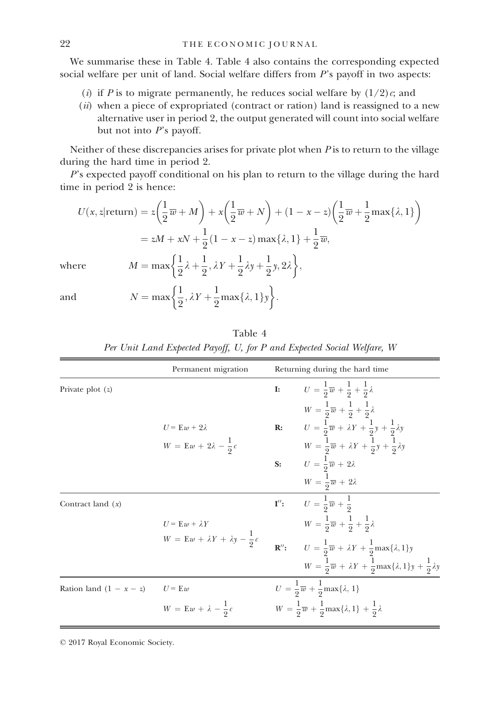We summarise these in Table 4. Table 4 also contains the corresponding expected social welfare per unit of land. Social welfare differs from P's payoff in two aspects:

- (i) if P is to migrate permanently, he reduces social welfare by  $(1/2)c$ ; and
- $(ii)$  when a piece of expropriated (contract or ration) land is reassigned to a new alternative user in period 2, the output generated will count into social welfare but not into  $P$ 's payoff.

Neither of these discrepancies arises for private plot when  $P$  is to return to the village during the hard time in period 2.

P's expected payoff conditional on his plan to return to the village during the hard time in period 2 is hence:

$$
U(x, z | \text{return}) = z \left(\frac{1}{2}\overline{w} + M\right) + x \left(\frac{1}{2}\overline{w} + N\right) + (1 - x - z) \left(\frac{1}{2}\overline{w} + \frac{1}{2}\max\{\lambda, 1\}\right)
$$

$$
= zM + xN + \frac{1}{2}(1 - x - z) \max\{\lambda, 1\} + \frac{1}{2}\overline{w},
$$
where
$$
M = \max\left\{\frac{1}{2}\lambda + \frac{1}{2}, \lambda Y + \frac{1}{2}\lambda y + \frac{1}{2}y, 2\lambda\right\},
$$
and
$$
N = \max\left\{\frac{1}{2}, \lambda Y + \frac{1}{2}\max\{\lambda, 1\}y\right\}.
$$

Table 4 Per Unit Land Expected Payoff, U, for P and Expected Social Welfare, W

|                           | Permanent migration                                      |           | Returning during the hard time                                                                                                                                               |  |
|---------------------------|----------------------------------------------------------|-----------|------------------------------------------------------------------------------------------------------------------------------------------------------------------------------|--|
| Private plot $(z)$        |                                                          | <b>I:</b> | $U = \frac{1}{9}\overline{w} + \frac{1}{9} + \frac{1}{9}\lambda$                                                                                                             |  |
|                           |                                                          |           | $W = \frac{1}{9}\overline{w} + \frac{1}{9} + \frac{1}{9}\lambda$                                                                                                             |  |
|                           | $U = Ew + 2\lambda$                                      |           |                                                                                                                                                                              |  |
|                           | $W = \mathbf{E}w + 2\lambda - \frac{1}{2}c$              |           | <b>R:</b> $U = \frac{1}{2}\overline{w} + \lambda Y + \frac{1}{2}y + \frac{1}{2}\lambda y$<br>$W = \frac{1}{2}\overline{w} + \lambda Y + \frac{1}{2}y + \frac{1}{2}\lambda y$ |  |
|                           |                                                          |           | S: $U = \frac{1}{2}\overline{w} + 2\lambda$                                                                                                                                  |  |
|                           |                                                          |           | $W = \frac{1}{9}\overline{w} + 2\lambda$                                                                                                                                     |  |
| Contract land $(x)$       |                                                          |           | $\mathbf{I}''$ : $U = \frac{1}{2}\overline{w} + \frac{1}{2}$                                                                                                                 |  |
|                           | $U = Ew + \lambda Y$                                     |           | $W = \frac{1}{2}\overline{w} + \frac{1}{2} + \frac{1}{2}\lambda$                                                                                                             |  |
|                           | $W = \mathbf{E}w + \lambda Y + \lambda y - \frac{1}{2}c$ |           | $\mathbf{R}^{\prime\prime}\mathbf{:}\qquad U=\frac{1}{2}\overline{w}+\lambda Y+\frac{1}{2}\text{max}\{\lambda,1\}\mathbf{y}$                                                 |  |
|                           |                                                          |           | $W = \frac{1}{2}\overline{w} + \lambda Y + \frac{1}{2}\max\{\lambda, 1\}y + \frac{1}{2}\lambda y$                                                                            |  |
| Ration land $(1 - x - z)$ | $U = E \omega$                                           |           | $U = \frac{1}{2}\overline{w} + \frac{1}{2}\max\{\lambda, 1\}$                                                                                                                |  |
|                           | $W = \mathbf{E}w + \lambda - \frac{1}{2}c$               |           | $W = \frac{1}{2}\overline{w} + \frac{1}{2}\text{max}\{\lambda, 1\} + \frac{1}{2}\lambda$                                                                                     |  |
|                           |                                                          |           |                                                                                                                                                                              |  |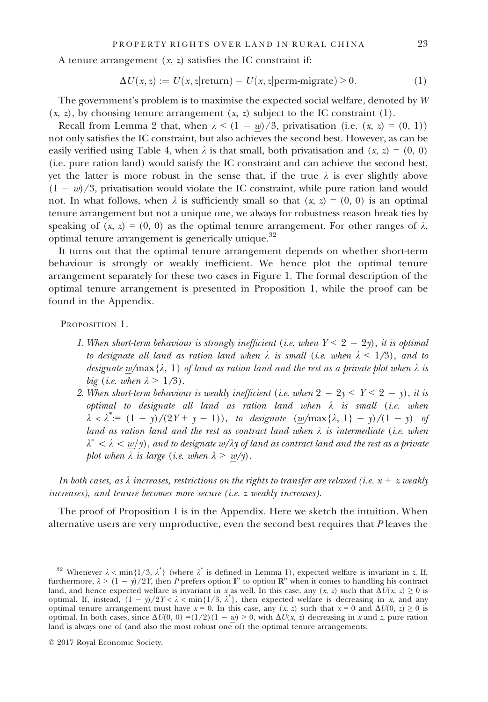## PROPERTY RIGHTS OVER LAND IN RURAL CHINA 23

A tenure arrangement  $(x, z)$  satisfies the IC constraint if:

$$
\Delta U(x, z) := U(x, z | \text{return}) - U(x, z | \text{perm-migrate}) \ge 0.
$$
 (1)

The government's problem is to maximise the expected social welfare, denoted by W  $(x, z)$ , by choosing tenure arrangement  $(x, z)$  subject to the IC constraint (1).

Recall from Lemma 2 that, when  $\lambda < (1 - w)/3$ , privatisation (i.e.  $(x, z) = (0, 1)$ ) not only satisfies the IC constraint, but also achieves the second best. However, as can be easily verified using Table 4, when  $\lambda$  is that small, both privatisation and  $(x, z) = (0, 0)$ (i.e. pure ration land) would satisfy the IC constraint and can achieve the second best, yet the latter is more robust in the sense that, if the true  $\lambda$  is ever slightly above  $(1 - w)/3$ , privatisation would violate the IC constraint, while pure ration land would not. In what follows, when  $\lambda$  is sufficiently small so that  $(x, z) = (0, 0)$  is an optimal tenure arrangement but not a unique one, we always for robustness reason break ties by speaking of  $(x, z) = (0, 0)$  as the optimal tenure arrangement. For other ranges of  $\lambda$ , optimal tenure arrangement is generically unique.<sup>32</sup>

It turns out that the optimal tenure arrangement depends on whether short-term behaviour is strongly or weakly inefficient. We hence plot the optimal tenure arrangement separately for these two cases in Figure 1. The formal description of the optimal tenure arrangement is presented in Proposition 1, while the proof can be found in the Appendix.

PROPOSITION 1.

- 1. When short-term behaviour is strongly inefficient (i.e. when  $Y \leq 2 2y$ ), it is optimal to designate all land as ration land when  $\lambda$  is small (i.e. when  $\lambda \leq 1/3$ ), and to designate w/max $\{\lambda, 1\}$  of land as ration land and the rest as a private plot when  $\lambda$  is big (i.e. when  $\lambda > 1/3$ ).
- 2. When short-term behaviour is weakly inefficient (i.e. when  $2 2y \le Y \le 2 y$ ), it is optimal to designate all land as ration land when  $\lambda$  is small (i.e. when  $\lambda \leq \lambda^* := (1 - y)/(2Y + y - 1)$ , to designate  $(\underline{w}/\text{max}\{\lambda, 1\} - y)/(1 - y)$  of land as ration land and the rest as contrast land when  $\lambda$  is intermediate (i.e. when land as ration land and the rest as contract land when  $\lambda$  is intermediate (i.e. when  $\lambda^* < \lambda < w(y)$ , and to designate  $w/\lambda y$  of land as contract land and the rest as a private plot when  $\lambda$  is large (i.e. when  $\lambda > w(y)$ .

In both cases, as  $\lambda$  increases, restrictions on the rights to transfer are relaxed (i.e.  $x + z$  weakly increases), and tenure becomes more secure (i.e. z weakly increases).

The proof of Proposition 1 is in the Appendix. Here we sketch the intuition. When alternative users are very unproductive, even the second best requires that P leaves the

<sup>&</sup>lt;sup>32</sup> Whenever  $\lambda < \min\{1/3, \lambda^*\}$  (where  $\lambda^*$  is defined in Lemma 1), expected welfare is invariant in z. If, furthermore,  $\lambda > (1 - y)/2Y$ , then P prefers option I'' to option R'' when it comes to handling his contract land, and hence expected welfare is invariant in x as well. In this case, any  $(x, z)$  such that  $\Delta U(x, z) \ge 0$  is optimal. If, instead,  $(1 - y)/2Y < \lambda < \min\{1/3, \lambda^*\}$ , then expected welfare is decreasing in x, and any optimal tenure arrangement must have  $x = 0$ . In this case, any  $(x, z)$  such that  $x = 0$  and  $\Delta U/(0, z) > 0$  is optimal tenure arrangement must have  $x = 0$ . In this case, any  $(x, z)$  such that  $x = 0$  and  $\Delta U(0, z) \ge 0$  is optimal. In both cases, since  $\Delta U(0, 0) = (1/2)(1 - w) > 0$ , with  $\Delta U(x, z)$  decreasing in x and z, pure ration land is always one of (and also the most robust one of) the optimal tenure arrangements.

<sup>©</sup> 2017 Royal Economic Society.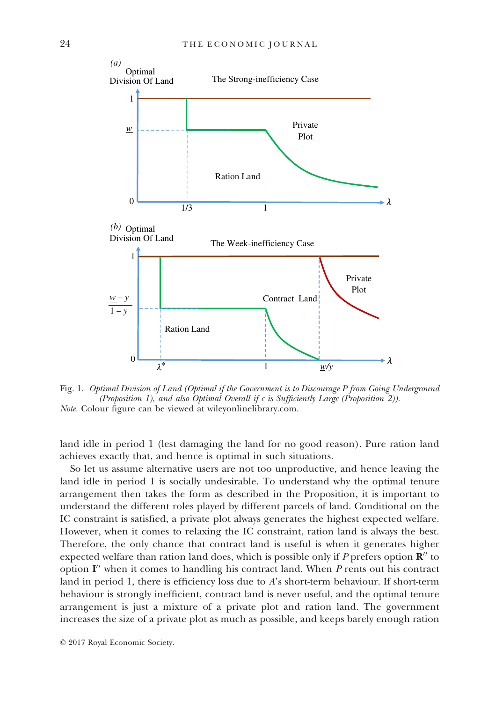

Fig. 1. Optimal Division of Land (Optimal if the Government is to Discourage P from Going Underground (Proposition 1), and also Optimal Overall if c is Sufficiently Large (Proposition 2)). Note. Colour figure can be viewed at wileyonlinelibrary.com.

land idle in period 1 (lest damaging the land for no good reason). Pure ration land achieves exactly that, and hence is optimal in such situations.

So let us assume alternative users are not too unproductive, and hence leaving the land idle in period 1 is socially undesirable. To understand why the optimal tenure arrangement then takes the form as described in the Proposition, it is important to understand the different roles played by different parcels of land. Conditional on the IC constraint is satisfied, a private plot always generates the highest expected welfare. However, when it comes to relaxing the IC constraint, ration land is always the best. Therefore, the only chance that contract land is useful is when it generates higher expected welfare than ration land does, which is possible only if P prefers option  $\mathbb{R}^n$  to option  $I''$  when it comes to handling his contract land. When  $P$  rents out his contract land in period 1, there is efficiency loss due to  $A$ 's short-term behaviour. If short-term behaviour is strongly inefficient, contract land is never useful, and the optimal tenure arrangement is just a mixture of a private plot and ration land. The government increases the size of a private plot as much as possible, and keeps barely enough ration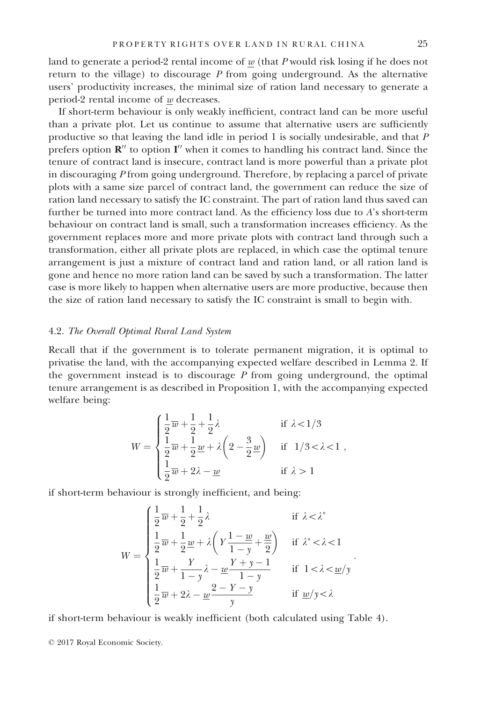land to generate a period-2 rental income of  $w$  (that P would risk losing if he does not return to the village) to discourage  $P$  from going underground. As the alternative users' productivity increases, the minimal size of ration land necessary to generate a period-2 rental income of w decreases.

If short-term behaviour is only weakly inefficient, contract land can be more useful than a private plot. Let us continue to assume that alternative users are sufficiently productive so that leaving the land idle in period  $1$  is socially undesirable, and that  $P$ prefers option  $\mathbf{R}^{\prime\prime}$  to option  $\mathbf{I}^{\prime\prime}$  when it comes to handling his contract land. Since the tenure of contract land is insecure, contract land is more powerful than a private plot in discouraging P from going underground. Therefore, by replacing a parcel of private plots with a same size parcel of contract land, the government can reduce the size of ration land necessary to satisfy the IC constraint. The part of ration land thus saved can further be turned into more contract land. As the efficiency loss due to  $A$ 's short-term behaviour on contract land is small, such a transformation increases efficiency. As the government replaces more and more private plots with contract land through such a transformation, either all private plots are replaced, in which case the optimal tenure arrangement is just a mixture of contract land and ration land, or all ration land is gone and hence no more ration land can be saved by such a transformation. The latter case is more likely to happen when alternative users are more productive, because then the size of ration land necessary to satisfy the IC constraint is small to begin with.

### 4.2. The Overall Optimal Rural Land System

Recall that if the government is to tolerate permanent migration, it is optimal to privatise the land, with the accompanying expected welfare described in Lemma 2. If the government instead is to discourage  $P$  from going underground, the optimal tenure arrangement is as described in Proposition 1, with the accompanying expected welfare being:

$$
W = \begin{cases} \frac{1}{2}\overline{w} + \frac{1}{2} + \frac{1}{2}\lambda & \text{if } \lambda < 1/3\\ \frac{1}{2}\overline{w} + \frac{1}{2}\underline{w} + \lambda\left(2 - \frac{3}{2}\underline{w}\right) & \text{if } 1/3 < \lambda < 1\\ \frac{1}{2}\overline{w} + 2\lambda - \underline{w} & \text{if } \lambda > 1 \end{cases}
$$

if short-term behaviour is strongly inefficient, and being:

$$
W = \begin{cases} \frac{1}{2}\overline{w} + \frac{1}{2} + \frac{1}{2}\lambda & \text{if } \lambda < \lambda^* \\ \frac{1}{2}\overline{w} + \frac{1}{2}\underline{w} + \lambda \left(Y\frac{1-\underline{w}}{1-y} + \frac{\underline{w}}{2}\right) & \text{if } \lambda^* < \lambda < 1 \\ \frac{1}{2}\overline{w} + \frac{Y}{1-y}\lambda - \underline{w}\frac{Y+y-1}{1-y} & \text{if } 1 < \lambda < \underline{w}/y \\ \frac{1}{2}\overline{w} + 2\lambda - \underline{w}\frac{2-Y-y}{y} & \text{if } \underline{w}/y < \lambda \end{cases}
$$

:

if short-term behaviour is weakly inefficient (both calculated using Table 4).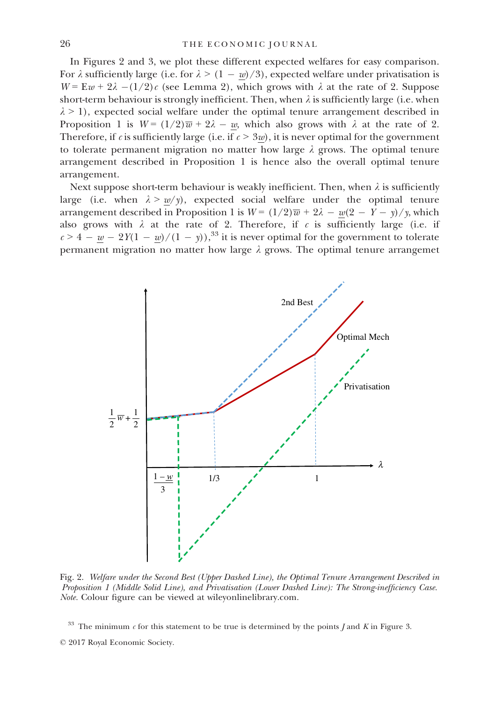In Figures 2 and 3, we plot these different expected welfares for easy comparison. For  $\lambda$  sufficiently large (i.e. for  $\lambda > (1 - w)/3$ ), expected welfare under privatisation is  $W = Ew + 2\lambda$  –(1/2)c (see Lemma 2), which grows with  $\lambda$  at the rate of 2. Suppose short-term behaviour is strongly inefficient. Then, when  $\lambda$  is sufficiently large (i.e. when  $\lambda$  > 1), expected social welfare under the optimal tenure arrangement described in Proposition 1 is  $W = (1/2)\overline{w} + 2\lambda - w$ , which also grows with  $\lambda$  at the rate of 2. Therefore, if c is sufficiently large (i.e. if  $c > 3w$ ), it is never optimal for the government to tolerate permanent migration no matter how large  $\lambda$  grows. The optimal tenure arrangement described in Proposition 1 is hence also the overall optimal tenure arrangement.

Next suppose short-term behaviour is weakly inefficient. Then, when  $\lambda$  is sufficiently large (i.e. when  $\lambda > w/y$ ), expected social welfare under the optimal tenure arrangement described in Proposition 1 is  $W = (1/2)\overline{w} + 2\lambda - w(2 - Y - y)/y$ , which also grows with  $\lambda$  at the rate of 2. Therefore, if c is sufficiently large (i.e. if  $c > 4 - w - 2Y(1 - w)/(1 - y)$ ,<sup>33</sup> it is never optimal for the government to tolerate permanent migration no matter how large  $\lambda$  grows. The optimal tenure arrangemet



Fig. 2. Welfare under the Second Best (Upper Dashed Line), the Optimal Tenure Arrangement Described in Proposition 1 (Middle Solid Line), and Privatisation (Lower Dashed Line): The Strong-inefficiency Case. Note. Colour figure can be viewed at wileyonlinelibrary.com.

<sup>33</sup> The minimum c for this statement to be true is determined by the points J and K in Figure 3.

<sup>©</sup> 2017 Royal Economic Society.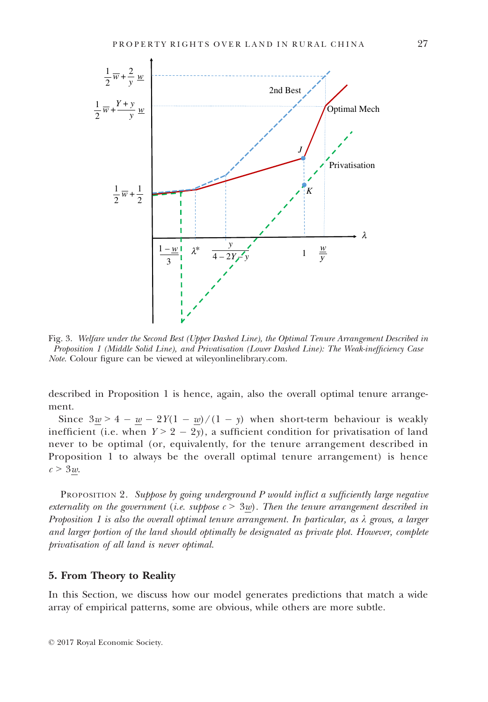

Fig. 3. Welfare under the Second Best (Upper Dashed Line), the Optimal Tenure Arrangement Described in Proposition 1 (Middle Solid Line), and Privatisation (Lower Dashed Line): The Weak-inefficiency Case Note. Colour figure can be viewed at wileyonlinelibrary.com.

described in Proposition 1 is hence, again, also the overall optimal tenure arrangement.

Since  $3w > 4 - w - 2Y(1 - w)/(1 - y)$  when short-term behaviour is weakly inefficient (i.e. when  $Y > 2 - 2y$ ), a sufficient condition for privatisation of land never to be optimal (or, equivalently, for the tenure arrangement described in Proposition 1 to always be the overall optimal tenure arrangement) is hence  $c > 3w$ .

PROPOSITION 2. Suppose by going underground P would inflict a sufficiently large negative externality on the government (i.e. suppose  $c > 3w$ ). Then the tenure arrangement described in Proposition 1 is also the overall optimal tenure arrangement. In particular, as  $\lambda$  grows, a larger and larger portion of the land should optimally be designated as private plot. However, complete privatisation of all land is never optimal.

## 5. From Theory to Reality

In this Section, we discuss how our model generates predictions that match a wide array of empirical patterns, some are obvious, while others are more subtle.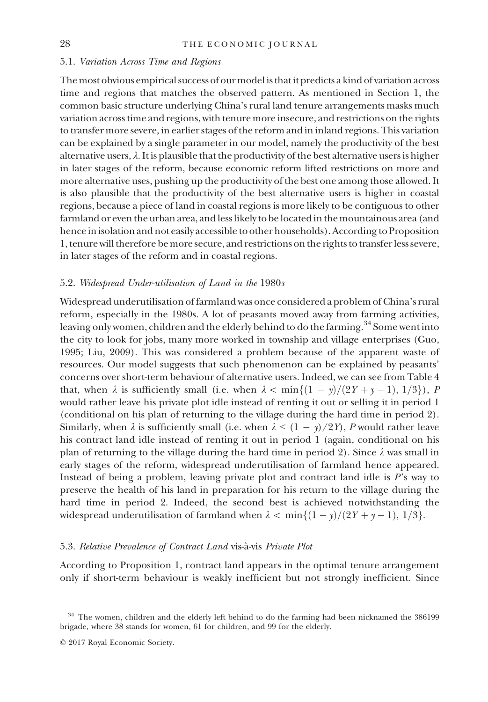## 5.1. Variation Across Time and Regions

The most obvious empirical success of our model is that it predicts a kind of variation across time and regions that matches the observed pattern. As mentioned in Section 1, the common basic structure underlying China's rural land tenure arrangements masks much variation across time and regions, with tenure more insecure, and restrictions on the rights to transfer more severe, in earlier stages of the reform and in inland regions. This variation can be explained by a single parameter in our model, namely the productivity of the best alternative users,  $\lambda$ . It is plausible that the productivity of the best alternative users is higher in later stages of the reform, because economic reform lifted restrictions on more and more alternative uses, pushing up the productivity of the best one among those allowed. It is also plausible that the productivity of the best alternative users is higher in coastal regions, because a piece of land in coastal regions is more likely to be contiguous to other farmland or even the urban area, and less likely to be located in the mountainous area (and hence in isolation and not easily accessible to other households). According to Proposition 1, tenure will therefore be more secure, and restrictions on the rights to transfer less severe, in later stages of the reform and in coastal regions.

## 5.2. Widespread Under-utilisation of Land in the 1980s

Widespread underutilisation of farmland was once considered a problem of China's rural reform, especially in the 1980s. A lot of peasants moved away from farming activities, leaving only women, children and the elderly behind to do the farming.<sup>34</sup> Some went into the city to look for jobs, many more worked in township and village enterprises (Guo, 1995; Liu, 2009). This was considered a problem because of the apparent waste of resources. Our model suggests that such phenomenon can be explained by peasants' concerns over short-term behaviour of alternative users. Indeed, we can see from Table 4 that, when  $\lambda$  is sufficiently small (i.e. when  $\lambda \lt \min\{(1 - \gamma)/(2Y + \gamma - 1), 1/3\}$ ), P would rather leave his private plot idle instead of renting it out or selling it in period 1 (conditional on his plan of returning to the village during the hard time in period 2). Similarly, when  $\lambda$  is sufficiently small (i.e. when  $\lambda < (1 - \gamma)/2Y$ ), P would rather leave his contract land idle instead of renting it out in period 1 (again, conditional on his plan of returning to the village during the hard time in period 2). Since  $\lambda$  was small in early stages of the reform, widespread underutilisation of farmland hence appeared. Instead of being a problem, leaving private plot and contract land idle is P's way to preserve the health of his land in preparation for his return to the village during the hard time in period 2. Indeed, the second best is achieved notwithstanding the widespread underutilisation of farmland when  $\lambda < \min\{(1 - \gamma)/(2Y + \gamma - 1), 1/3\}.$ 

## 5.3. Relative Prevalence of Contract Land vis-à-vis Private Plot

According to Proposition 1, contract land appears in the optimal tenure arrangement only if short-term behaviour is weakly inefficient but not strongly inefficient. Since

<sup>&</sup>lt;sup>34</sup> The women, children and the elderly left behind to do the farming had been nicknamed the 386199 brigade, where 38 stands for women, 61 for children, and 99 for the elderly.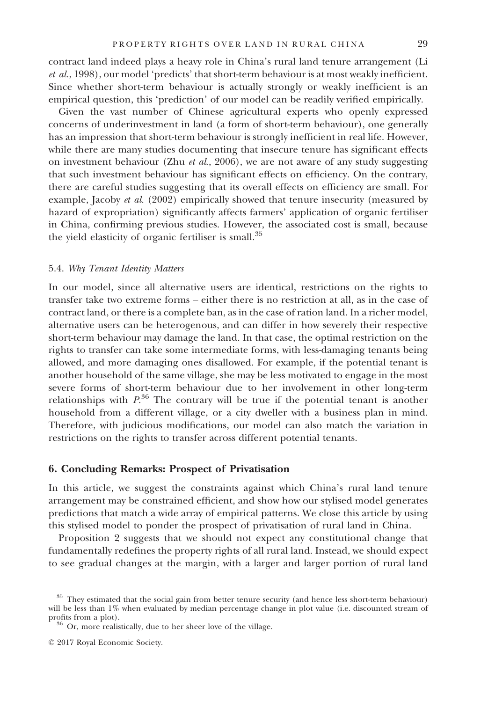contract land indeed plays a heavy role in China's rural land tenure arrangement (Li et al., 1998), our model 'predicts' that short-term behaviour is at most weakly inefficient. Since whether short-term behaviour is actually strongly or weakly inefficient is an empirical question, this 'prediction' of our model can be readily verified empirically.

Given the vast number of Chinese agricultural experts who openly expressed concerns of underinvestment in land (a form of short-term behaviour), one generally has an impression that short-term behaviour is strongly inefficient in real life. However, while there are many studies documenting that insecure tenure has significant effects on investment behaviour (Zhu et al., 2006), we are not aware of any study suggesting that such investment behaviour has significant effects on efficiency. On the contrary, there are careful studies suggesting that its overall effects on efficiency are small. For example, Jacoby et al. (2002) empirically showed that tenure insecurity (measured by hazard of expropriation) significantly affects farmers' application of organic fertiliser in China, confirming previous studies. However, the associated cost is small, because the yield elasticity of organic fertiliser is small.<sup>35</sup>

### 5.4. Why Tenant Identity Matters

In our model, since all alternative users are identical, restrictions on the rights to transfer take two extreme forms – either there is no restriction at all, as in the case of contract land, or there is a complete ban, as in the case of ration land. In a richer model, alternative users can be heterogenous, and can differ in how severely their respective short-term behaviour may damage the land. In that case, the optimal restriction on the rights to transfer can take some intermediate forms, with less-damaging tenants being allowed, and more damaging ones disallowed. For example, if the potential tenant is another household of the same village, she may be less motivated to engage in the most severe forms of short-term behaviour due to her involvement in other long-term relationships with  $P^{36}$  The contrary will be true if the potential tenant is another household from a different village, or a city dweller with a business plan in mind. Therefore, with judicious modifications, our model can also match the variation in restrictions on the rights to transfer across different potential tenants.

## 6. Concluding Remarks: Prospect of Privatisation

In this article, we suggest the constraints against which China's rural land tenure arrangement may be constrained efficient, and show how our stylised model generates predictions that match a wide array of empirical patterns. We close this article by using this stylised model to ponder the prospect of privatisation of rural land in China.

Proposition 2 suggests that we should not expect any constitutional change that fundamentally redefines the property rights of all rural land. Instead, we should expect to see gradual changes at the margin, with a larger and larger portion of rural land

<sup>&</sup>lt;sup>35</sup> They estimated that the social gain from better tenure security (and hence less short-term behaviour) will be less than 1% when evaluated by median percentage change in plot value (i.e. discounted stream of profits from a plot).

 $\frac{36}{100}$  Or, more realistically, due to her sheer love of the village.

<sup>©</sup> 2017 Royal Economic Society.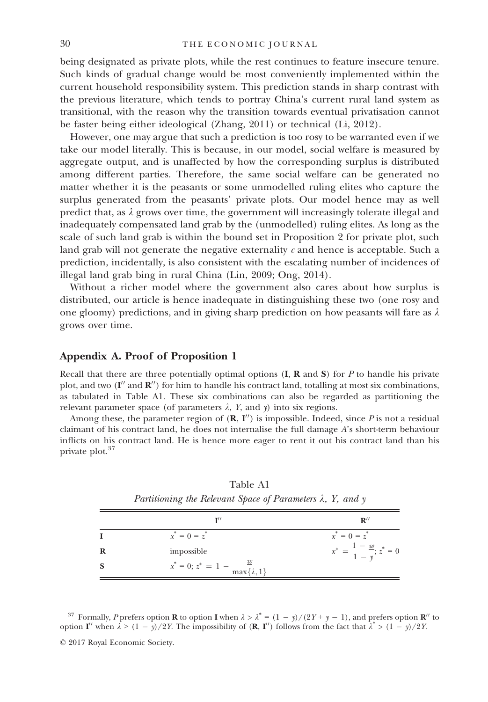being designated as private plots, while the rest continues to feature insecure tenure. Such kinds of gradual change would be most conveniently implemented within the current household responsibility system. This prediction stands in sharp contrast with the previous literature, which tends to portray China's current rural land system as transitional, with the reason why the transition towards eventual privatisation cannot be faster being either ideological (Zhang, 2011) or technical (Li, 2012).

However, one may argue that such a prediction is too rosy to be warranted even if we take our model literally. This is because, in our model, social welfare is measured by aggregate output, and is unaffected by how the corresponding surplus is distributed among different parties. Therefore, the same social welfare can be generated no matter whether it is the peasants or some unmodelled ruling elites who capture the surplus generated from the peasants' private plots. Our model hence may as well predict that, as  $\lambda$  grows over time, the government will increasingly tolerate illegal and inadequately compensated land grab by the (unmodelled) ruling elites. As long as the scale of such land grab is within the bound set in Proposition 2 for private plot, such land grab will not generate the negative externality  $c$  and hence is acceptable. Such a prediction, incidentally, is also consistent with the escalating number of incidences of illegal land grab bing in rural China (Lin, 2009; Ong, 2014).

Without a richer model where the government also cares about how surplus is distributed, our article is hence inadequate in distinguishing these two (one rosy and one gloomy) predictions, and in giving sharp prediction on how peasants will fare as  $\lambda$ grows over time.

## Appendix A. Proof of Proposition 1

Recall that there are three potentially optimal options  $(I, R \text{ and } S)$  for P to handle his private plot, and two  $(I''$  and  $R''$ ) for him to handle his contract land, totalling at most six combinations, as tabulated in Table A1. These six combinations can also be regarded as partitioning the relevant parameter space (of parameters  $\lambda$ ,  $Y$ , and  $y$ ) into six regions.

Among these, the parameter region of  $(R, I'')$  is impossible. Indeed, since P is not a residual claimant of his contract land, he does not internalise the full damage A's short-term behaviour inflicts on his contract land. He is hence more eager to rent it out his contract land than his private plot.<sup>37</sup>

|          |                                                      | $\mathbf{R}^{\prime\prime}$          |
|----------|------------------------------------------------------|--------------------------------------|
|          | $x^* = 0 = z^*$                                      | $x^* = 0 = z^*$                      |
| R        | impossible                                           | $x^* = \frac{1 - w}{1 - y}; x^* = 0$ |
| <b>S</b> | $x^* = 0$ ; $z^* = 1 - \frac{w}{\max\{\lambda, 1\}}$ |                                      |

Table A1 Partitioning the Relevant Space of Parameters  $\lambda$ , Y, and y

<sup>37</sup> Formally, P prefers option **R** to option I when  $\lambda > \lambda^* = (1 - \gamma)/(2Y + \gamma - 1)$ , and prefers option **R**<sup>*n*</sup> to option I'' when  $\lambda > (1 - \gamma)/2Y$ . The impossibility of  $(R, I'')$  follows from the fact that  $\lambda^* > (1 - \gamma)/2Y$ .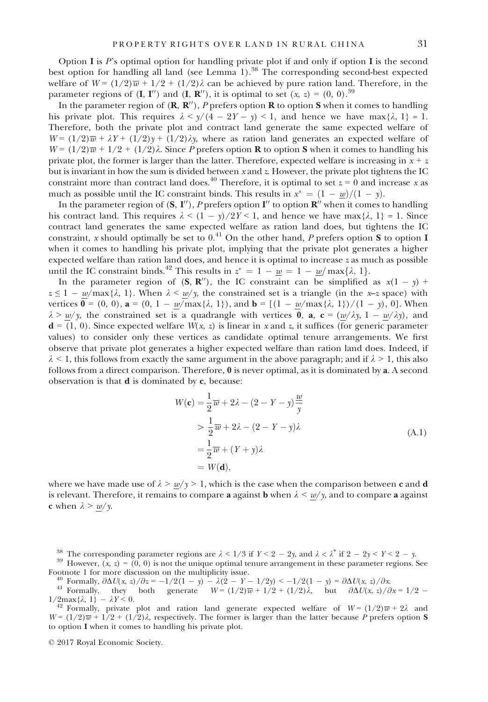Option I is P's optimal option for handling private plot if and only if option I is the second best option for handling all land (see Lemma 1).<sup>38</sup> The corresponding second-best expected welfare of  $W = (1/2)\overline{w} + 1/2 + (1/2)\lambda$  can be achieved by pure ration land. Therefore, in the parameter regions of  $(I, I'')$  and  $(I, R'')$ , it is optimal to set  $(x, z) = (0, 0)$ .<sup>39</sup>

In the parameter region of  $(R, R'')$ , P prefers option R to option S when it comes to handling his private plot. This requires  $\lambda \le \gamma/(4 - 2Y - \gamma) \le 1$ , and hence we have max $\{\lambda, 1\} = 1$ . Therefore, both the private plot and contract land generate the same expected welfare of  $W = (1/2)\overline{w} + \lambda Y + (1/2)\gamma + (1/2)\lambda\gamma$ , where as ration land generates an expected welfare of  $W = (1/2)\overline{w} + 1/2 + (1/2)\lambda$ . Since P prefers option **R** to option **S** when it comes to handling his private plot, the former is larger than the latter. Therefore, expected welfare is increasing in  $x + z$ but is invariant in how the sum is divided between x and z. However, the private plot tightens the IC constraint more than contract land does.<sup>40</sup> Therefore, it is optimal to set  $z = 0$  and increase x as much as possible until the IC constraint binds. This results in  $x^* = (1 - w)/(1 - y)$ .

In the parameter region of  $(S, I'')$ , P prefers option  $I''$  to option  $R''$  when it comes to handling his contract land. This requires  $\lambda < (1 - y)/2Y < 1$ , and hence we have max $\{\lambda, 1\} = 1$ . Since contract land generates the same expected welfare as ration land does, but tightens the IC constraint, x should optimally be set to  $0<sup>41</sup>$  On the other hand, P prefers option S to option I when it comes to handling his private plot, implying that the private plot generates a higher expected welfare than ration land does, and hence it is optimal to increase z as much as possible until the IC constraint binds.<sup>42</sup> This results in  $z^* = 1 - w = 1 - w / max{\lambda, 1}$ .

In the parameter region of  $(S, R'')$ , the IC constraint can be simplified as  $x(1 - y)$  +  $z \leq 1 - w / \max{\{\lambda, 1\}}$ . When  $\lambda \leq w / \lambda$ , the constrained set is a triangle (in the x-z space) with vertices  $\overline{\mathbf{0}} = (0, 0)$ ,  $\mathbf{a} = (0, 1 - w/\max{\lambda}, 1)$ , and  $\mathbf{b} = \frac{(1 - w/\max{\lambda}, 1)}{(1 - v)}$ , 0]. When  $\lambda > w/\gamma$ , the constrained set is a quadrangle with vertices **0**, **a**, **c** =  $(w/\lambda \gamma, 1 - w/\lambda \gamma)$ , and  $\mathbf{d} = (1, 0)$ . Since expected welfare  $W(x, z)$  is linear in x and z, it suffices (for generic parameter values) to consider only these vertices as candidate optimal tenure arrangements. We first observe that private plot generates a higher expected welfare than ration land does. Indeed, if  $\lambda$  < 1, this follows from exactly the same argument in the above paragraph; and if  $\lambda$  > 1, this also follows from a direct comparison. Therefore, 0 is never optimal, as it is dominated by a. A second observation is that  $d$  is dominated by  $c$ , because:

$$
W(\mathbf{c}) = \frac{1}{2}\overline{w} + 2\lambda - (2 - Y - y)\frac{w}{y}
$$
  
>  $\frac{1}{2}\overline{w} + 2\lambda - (2 - Y - y)\lambda$   
=  $\frac{1}{2}\overline{w} + (Y + y)\lambda$   
=  $W(\mathbf{d}),$  (A.1)

where we have made use of  $\lambda > w/y > 1$ , which is the case when the comparison between **c** and **d** is relevant. Therefore, it remains to compare **a** against **b** when  $\lambda \leq w/\gamma$ , and to compare **a** against **c** when  $\lambda > w/\gamma$ .

<sup>38</sup> The corresponding parameter regions are  $\lambda < 1/3$  if  $Y < 2 - 2y$ , and  $\lambda < \lambda^*$  if  $2 - 2y < Y < 2 - y$ .<br><sup>39</sup> However,  $(x, z) = (0, 0)$  is not the unique optimal tenure arrangement in these parameter regions. See

Footnote 1 for more discussion on the multiplicity issue.<br>
<sup>40</sup> Formally,  $\partial \Delta U(x, z)/\partial z = -1/2(1 - y) - \lambda(2 - Y - 1/2y) < -1/2(1 - y) = \partial \Delta U(x, z)/\partial x$ .<br>
<sup>41</sup> Formally, they both generate  $W = (1/2)\overline{w} + 1/2 + (1/2)\lambda$ , but  $\partial \Delta U(x, z)/\partial x = 1/$ 

<sup>42</sup> Formally, private plot and ration land generate expected welfare of  $W = (1/2)\overline{w} + 2\lambda$  and  $W = (1/2)\overline{w} + 1/2 + (1/2)\lambda$ , respectively. The former is larger than the latter because P prefers option S to option I when it comes to handling his private plot.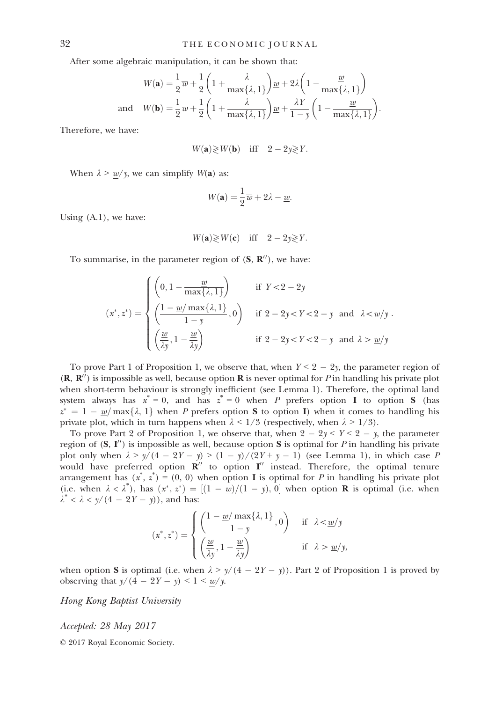After some algebraic manipulation, it can be shown that:

$$
W(\mathbf{a}) = \frac{1}{2}\overline{w} + \frac{1}{2}\left(1 + \frac{\lambda}{\max\{\lambda, 1\}}\right)\underline{w} + 2\lambda\left(1 - \frac{\underline{w}}{\max\{\lambda, 1\}}\right)
$$
  
and 
$$
W(\mathbf{b}) = \frac{1}{2}\overline{w} + \frac{1}{2}\left(1 + \frac{\lambda}{\max\{\lambda, 1\}}\right)\underline{w} + \frac{\lambda Y}{1 - y}\left(1 - \frac{\underline{w}}{\max\{\lambda, 1\}}\right).
$$

Therefore, we have:

$$
W(\mathbf{a})\geqslant W(\mathbf{b}) \quad \text{iff} \quad 2-2y\geqslant Y.
$$

When  $\lambda > w/\gamma$ , we can simplify  $W(\mathbf{a})$  as:

$$
W(\mathbf{a}) = \frac{1}{2}\overline{w} + 2\lambda - \underline{w}.
$$

Using (A.1), we have:

$$
W(\mathbf{a})\geqslant W(\mathbf{c}) \quad \text{iff} \quad 2-2y\geqslant Y.
$$

To summarise, in the parameter region of  $(S, R'')$ , we have:

$$
(x^*, z^*) = \begin{cases} \left(0, 1 - \frac{w}{\max\{\lambda, 1\}}\right) & \text{if } Y < 2 - 2y \\ \left(\frac{1 - w}{1 - y}, 0\right) & \text{if } 2 - 2y < Y < 2 - y \text{ and } \lambda < w/y \\ \left(\frac{w}{\lambda y}, 1 - \frac{w}{\lambda y}\right) & \text{if } 2 - 2y < Y < 2 - y \text{ and } \lambda > w/y \end{cases}
$$

To prove Part 1 of Proposition 1, we observe that, when  $Y \le 2 - 2y$ , the parameter region of  $(R, R'')$  is impossible as well, because option R is never optimal for P in handling his private plot when short-term behaviour is strongly inefficient (see Lemma 1). Therefore, the optimal land system always has  $x^* = 0$ , and has  $z^* = 0$  when P prefers option I to option S (has  $z^* = 1 - w/\max\{\lambda, 1\}$  when P prefers option S to option I) when it comes to handling his private plot, which in turn happens when  $\lambda \leq 1/3$  (respectively, when  $\lambda \geq 1/3$ ).

To prove Part 2 of Proposition 1, we observe that, when  $2 - 2y < Y < 2 - y$ , the parameter region of  $(S, I'')$  is impossible as well, because option S is optimal for P in handling his private plot only when  $\lambda > \gamma/(4 - 2Y - \gamma) > (1 - \gamma)/(2Y + \gamma - 1)$  (see Lemma 1), in which case P would have preferred option  $\mathbb{R}^{\prime\prime}$  to option I<sup>t</sup> instead. Therefore, the optimal tenure arrangement has  $(x^*, z^*) = (0, 0)$  when option **I** is optimal for *P* in handling his private plot (i.e. when  $\lambda < \lambda^*$ ), has  $(x^*, z^*) = [(1 - \underline{w})/(1 - y), 0]$  when option **R** is optimal (i.e. when  $\lambda^* < \lambda < y/(4 - 2Y - y)$ ), and has:

$$
(x^*, z^*) = \begin{cases} \left(\frac{1-\underline{w}/\max\{\lambda, 1\}}{1-y}, 0\right) & \text{if } \lambda < \underline{w}/y\\ \left(\frac{\underline{w}}{\lambda y}, 1 - \frac{\underline{w}}{\lambda y}\right) & \text{if } \lambda > \underline{w}/y, \end{cases}
$$

when option S is optimal (i.e. when  $\lambda > y/(4 - 2Y - y)$ ). Part 2 of Proposition 1 is proved by observing that  $y/(4 - 2Y - y) < 1 < w/y$ .

Hong Kong Baptist University

## Accepted: 28 May 2017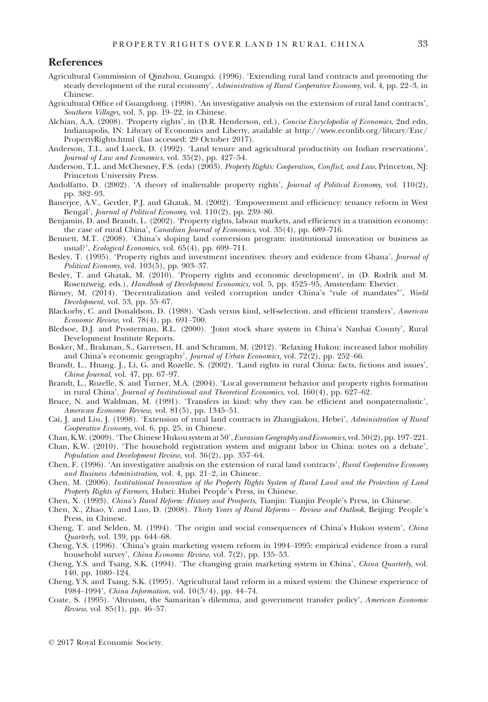## References

- Agricultural Commission of Qinzhou, Guangxi. (1996). 'Extending rural land contracts and promoting the steady development of the rural economy', Administration of Rural Cooperative Economy, vol. 4, pp. 22–3, in Chinese.
- Agricultural Office of Guangdong. (1998). 'An investigative analysis on the extension of rural land contracts', Southern Villages, vol. 3, pp. 19–22, in Chinese.
- Alchian, A.A. (2008). 'Property rights', in (D.R. Henderson, ed.), Concise Encyclopedia of Economics, 2nd edn, Indianapolis, IN: Library of Economics and Liberty, available at [http://www.econlib.org/library/Enc/](http://www.econlib.org/library/Enc/PropertyRights.html) [PropertyRights.html](http://www.econlib.org/library/Enc/PropertyRights.html) (last accessed: 29 October 2017).
- Anderson, T.L. and Lueck, D. (1992). 'Land tenure and agricultural productivity on Indian reservations', Journal of Law and Economics, vol. 35(2), pp. 427–54.
- Anderson, T.L. and McChesney, F.S. (eds) (2003). Property Rights: Cooperation, Conflict, and Law, Princeton, NJ: Princeton University Press.
- Andolfatto, D. (2002). 'A theory of inalienable property rights', *Journal of Political Economy*, vol. 110(2), pp. 382–93.
- Banerjee, A.V., Gertler, P.J. and Ghatak, M. (2002). 'Empowerment and efficiency: tenancy reform in West Bengal', Journal of Political Economy, vol. 110(2), pp. 239–80.
- Benjamin, D. and Brandt, L. (2002). 'Property rights, labour markets, and efficiency in a transition economy: the case of rural China', *Canadian Journal of Economics*, vol. 35(4), pp. 689-716.
- Bennett, M.T. (2008). 'China's sloping land conversion program: institutional innovation or business as usual?', Ecological Economics, vol. 65(4), pp. 699–711.
- Besley, T. (1995). 'Property rights and investment incentives: theory and evidence from Ghana', *Journal of* Political Economy, vol. 103(5), pp. 903–37.
- Besley, T. and Ghatak, M. (2010). 'Property rights and economic development', in (D. Rodrik and M. Rosenzweig, eds.), Handbook of Development Economics, vol. 5, pp. 4525–95, Amsterdam: Elsevier.
- Birney, M. (2014). 'Decentralization and veiled corruption under China's "rule of mandates"', World Development, vol. 53, pp. 55–67.
- Blackorby, C. and Donaldson, D. (1988). 'Cash versus kind, self-selection, and efficient transfers', American Economic Review, vol. 78(4), pp. 691–700.
- Bledsoe, D.J. and Prosterman, R.L. (2000). 'Joint stock share system in China's Nanhai County', Rural Development Institute Reports.
- Bosker, M., Brakman, S., Garretsen, H. and Schramm, M. (2012). 'Relaxing Hukou: increased labor mobility and China's economic geography', Journal of Urban Economics, vol. 72(2), pp. 252–66.
- Brandt, L., Huang, J., Li, G. and Rozelle, S. (2002). 'Land rights in rural China: facts, fictions and issues', China Journal, vol. 47, pp. 67–97.
- Brandt, L., Rozelle, S. and Turner, M.A. (2004). 'Local government behavior and property rights formation in rural China', Journal of Institutional and Theoretical Economics, vol. 160(4), pp. 627–62.
- Bruce, N. and Waldman, M. (1991). 'Transfers in kind: why they can be efficient and nonpaternalistic', American Economic Review, vol. 81(5), pp. 1345–51.
- Cai, J. and Liu, J. (1998). 'Extension of rural land contracts in Zhangjiakou, Hebei', Administration of Rural Cooperative Economy, vol. 6, pp. 25, in Chinese.
- Chan, K.W. (2009). 'The Chinese Hukou system at 50', Eurasian Geography and Economics, vol. 50(2), pp. 197–221.
- Chan, K.W. (2010). 'The household registration system and migrant labor in China: notes on a debate', Population and Development Review, vol. 36(2), pp. 357–64.
- Chen, F. (1996). 'An investigative analysis on the extension of rural land contracts', Rural Cooperative Economy and Business Administration, vol. 4, pp. 21–2, in Chinese.
- Chen, M. (2006). Institutional Innovation of the Property Rights System of Rural Land and the Protection of Land Property Rights of Farmers, Hubei: Hubei People's Press, in Chinese.
- Chen, X. (1993). China's Rural Reform: History and Prospects, Tianjin: Tianjin People's Press, in Chinese.
- Chen, X., Zhao, Y. and Luo, D. (2008). Thirty Years of Rural Reforms Review and Outlook, Beijing: People's Press, in Chinese.
- Cheng, T. and Selden, M. (1994). 'The origin and social consequences of China's Hukou system', China Quarterly, vol. 139, pp. 644–68.
- Cheng, Y.S. (1996). 'China's grain marketing system reform in 1994–1995: empirical evidence from a rural household survey', China Economic Review, vol. 7(2), pp. 135–53.
- Cheng, Y.S. and Tsang, S.K. (1994). 'The changing grain marketing system in China', China Quarterly, vol. 140, pp. 1080–124.
- Cheng, Y.S. and Tsang, S.K. (1995). 'Agricultural land reform in a mixed system: the Chinese experience of 1984–1994', China Information, vol. 10(3/4), pp. 44–74.
- Coate, S. (1995). 'Altruism, the Samaritan's dilemma, and government transfer policy', American Economic Review, vol. 85(1), pp. 46–57.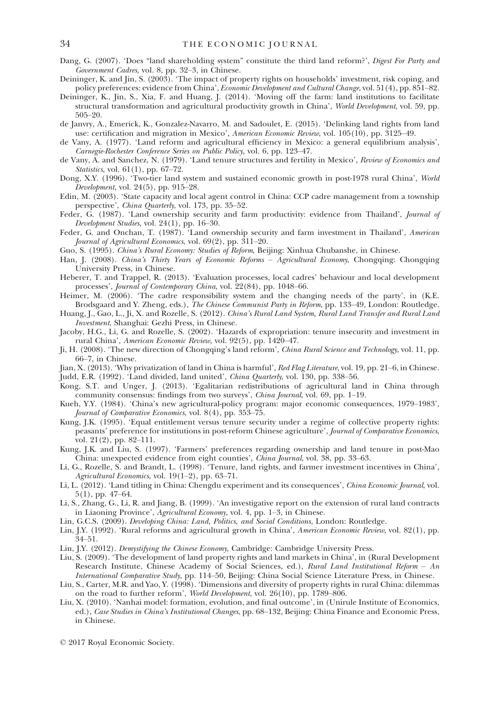- Dang, G. (2007). 'Does "land shareholding system" constitute the third land reform?', Digest For Party and Government Cadres, vol. 8, pp. 32–3, in Chinese.
- Deininger, K. and Jin, S. (2003). 'The impact of property rights on households' investment, risk coping, and policy preferences: evidence from China', Economic Development and Cultural Change, vol. 51(4), pp. 851–82.
- Deininger, K., Jin, S., Xia, F. and Huang, J. (2014). 'Moving off the farm: land institutions to facilitate structural transformation and agricultural productivity growth in China', World Development, vol. 59, pp. 505–20.
- de Janvry, A., Emerick, K., Gonzalez-Navarro, M. and Sadoulet, E. (2015). 'Delinking land rights from land use: certification and migration in Mexico', American Economic Review, vol. 105(10), pp. 3125–49.
- de Vany, A. (1977). 'Land reform and agricultural efficiency in Mexico: a general equilibrium analysis', Carnegie-Rochester Conference Series on Public Policy, vol. 6, pp. 123–47.
- de Vany, A. and Sanchez, N. (1979). 'Land tenure structures and fertility in Mexico', Review of Economics and Statistics, vol. 61(1), pp. 67–72.
- Dong, X.Y. (1996). 'Two-tier land system and sustained economic growth in post-1978 rural China', World Development, vol. 24(5), pp. 915–28.
- Edin, M. (2003). 'State capacity and local agent control in China: CCP cadre management from a township perspective', China Quarterly, vol. 173, pp. 35–52.
- Feder, G. (1987). 'Land ownership security and farm productivity: evidence from Thailand', *Journal of* Development Studies, vol. 24(1), pp. 16–30.
- Feder, G. and Onchan, T. (1987). 'Land ownership security and farm investment in Thailand', American Journal of Agricultural Economics, vol. 69(2), pp. 311–20.
- Guo, S. (1995). China's Rural Economy: Studies of Reform, Beijing: Xinhua Chubanshe, in Chinese.
- Han, J. (2008). China's Thirty Years of Economic Reforms Agricultural Economy, Chongqing: Chongqing University Press, in Chinese.
- Heberer, T. and Trappel, R. (2013). 'Evaluation processes, local cadres' behaviour and local development processes', Journal of Contemporary China, vol. 22(84), pp. 1048–66.
- Heimer, M. (2006). 'The cadre responsibility system and the changing needs of the party', in (K.E. Brodsgaard and Y. Zheng, eds.), The Chinese Communist Party in Reform, pp. 133–49, London: Routledge.
- Huang, J., Gao, L., Ji, X. and Rozelle, S. (2012). China's Rural Land System, Rural Land Transfer and Rural Land Investment, Shanghai: Gezhi Press, in Chinese.
- Jacoby, H.G., Li, G. and Rozelle, S. (2002). 'Hazards of expropriation: tenure insecurity and investment in rural China', American Economic Review, vol. 92(5), pp. 1420–47.
- Ji, H. (2008). 'The new direction of Chongqing's land reform', China Rural Science and Technology, vol. 11, pp. 66–7, in Chinese.
- Jian, X. (2013). 'Why privatization of land in China is harmful', Red Flag Literature, vol. 19, pp. 21-6, in Chinese. Judd, E.R. (1992). 'Land divided, land united', *China Quarterly*, vol. 130, pp. 338-56.
- Kong, S.T. and Unger, J. (2013). 'Egalitarian redistributions of agricultural land in China through community consensus: findings from two surveys', China Journal, vol. 69, pp. 1–19.
- Kueh, Y.Y. (1984). 'China's new agricultural-policy program: major economic consequences, 1979–1983', Journal of Comparative Economics, vol. 8(4), pp. 353–75.
- Kung, J.K. (1995). 'Equal entitlement versus tenure security under a regime of collective property rights: peasants' preference for institutions in post-reform Chinese agriculture', Journal of Comparative Economics, vol. 21(2), pp. 82–111.
- Kung, J.K. and Liu, S. (1997). 'Farmers' preferences regarding ownership and land tenure in post-Mao China: unexpected evidence from eight counties', China Journal, vol. 38, pp. 33–63.
- Li, G., Rozelle, S. and Brandt, L. (1998). 'Tenure, land rights, and farmer investment incentives in China', Agricultural Economics, vol. 19(1–2), pp. 63–71.
- Li, L. (2012). 'Land titling in China: Chengdu experiment and its consequences', China Economic Journal, vol. 5(1), pp. 47–64.
- Li, S., Zhang, G., Li, R. and Jiang, B. (1999). 'An investigative report on the extension of rural land contracts in Liaoning Province', Agricultural Economy, vol. 4, pp. 1–3, in Chinese.
- Lin, G.C.S. (2009). Developing China: Land, Politics, and Social Conditions, London: Routledge.
- Lin, J.Y. (1992). 'Rural reforms and agricultural growth in China', American Economic Review, vol. 82(1), pp. 34–51.
- Lin, J.Y. (2012). Demystifying the Chinese Economy, Cambridge: Cambridge University Press.
- Liu, S. (2009). 'The development of land property rights and land markets in China', in (Rural Development Research Institute, Chinese Academy of Social Sciences, ed.), Rural Land Institutional Reform – An International Comparative Study, pp. 114–50, Beijing: China Social Science Literature Press, in Chinese.
- Liu, S., Carter, M.R. and Yao, Y. (1998). 'Dimensions and diversity of property rights in rural China: dilemmas on the road to further reform', World Development, vol. 26(10), pp. 1789–806.
- Liu, X. (2010). 'Nanhai model: formation, evolution, and final outcome', in (Unirule Institute of Economics, ed.), Case Studies in China's Institutional Changes, pp. 68–132, Beijing: China Finance and Economic Press, in Chinese.